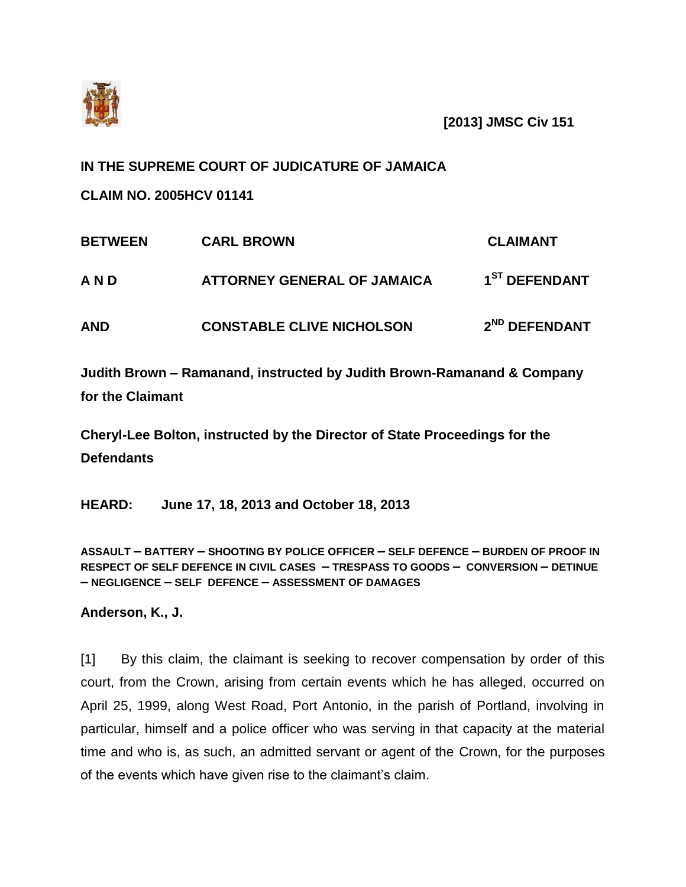

**[2013] JMSC Civ 151**

## **IN THE SUPREME COURT OF JUDICATURE OF JAMAICA**

**CLAIM NO. 2005HCV 01141**

| <b>BETWEEN</b> | <b>CARL BROWN</b>                  | <b>CLAIMANT</b>           |
|----------------|------------------------------------|---------------------------|
| AND            | <b>ATTORNEY GENERAL OF JAMAICA</b> | 1 <sup>ST</sup> DEFENDANT |
| <b>AND</b>     | <b>CONSTABLE CLIVE NICHOLSON</b>   | 2 <sup>ND</sup> DEFENDANT |

**Judith Brown – Ramanand, instructed by Judith Brown-Ramanand & Company for the Claimant**

**Cheryl-Lee Bolton, instructed by the Director of State Proceedings for the Defendants**

**HEARD: June 17, 18, 2013 and October 18, 2013**

**ASSAULT – BATTERY – SHOOTING BY POLICE OFFICER – SELF DEFENCE – BURDEN OF PROOF IN RESPECT OF SELF DEFENCE IN CIVIL CASES – TRESPASS TO GOODS – CONVERSION – DETINUE – NEGLIGENCE – SELF DEFENCE – ASSESSMENT OF DAMAGES**

**Anderson, K., J.**

[1] By this claim, the claimant is seeking to recover compensation by order of this court, from the Crown, arising from certain events which he has alleged, occurred on April 25, 1999, along West Road, Port Antonio, in the parish of Portland, involving in particular, himself and a police officer who was serving in that capacity at the material time and who is, as such, an admitted servant or agent of the Crown, for the purposes of the events which have given rise to the claimant's claim.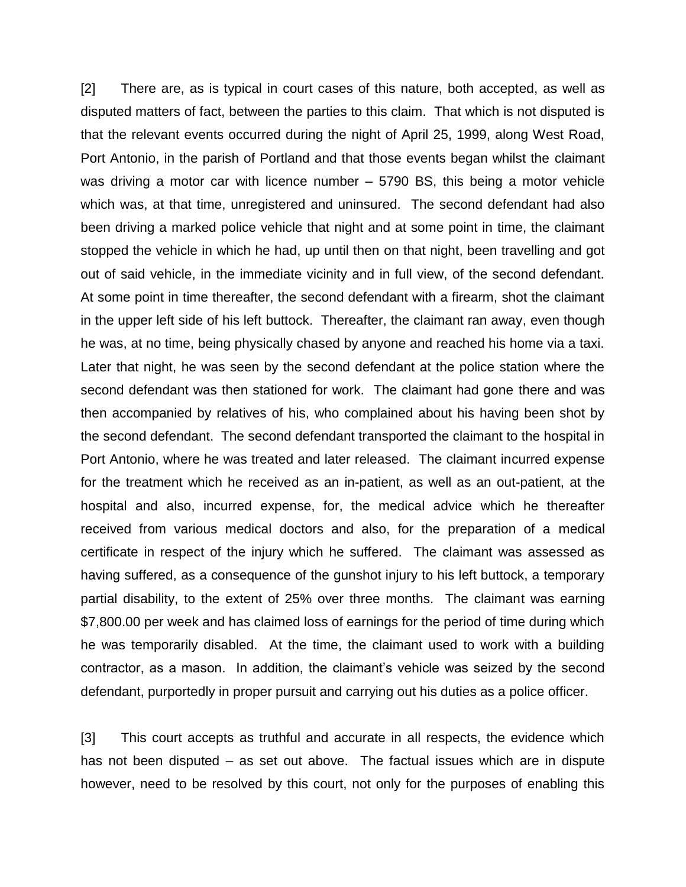[2] There are, as is typical in court cases of this nature, both accepted, as well as disputed matters of fact, between the parties to this claim. That which is not disputed is that the relevant events occurred during the night of April 25, 1999, along West Road, Port Antonio, in the parish of Portland and that those events began whilst the claimant was driving a motor car with licence number – 5790 BS, this being a motor vehicle which was, at that time, unregistered and uninsured. The second defendant had also been driving a marked police vehicle that night and at some point in time, the claimant stopped the vehicle in which he had, up until then on that night, been travelling and got out of said vehicle, in the immediate vicinity and in full view, of the second defendant. At some point in time thereafter, the second defendant with a firearm, shot the claimant in the upper left side of his left buttock. Thereafter, the claimant ran away, even though he was, at no time, being physically chased by anyone and reached his home via a taxi. Later that night, he was seen by the second defendant at the police station where the second defendant was then stationed for work. The claimant had gone there and was then accompanied by relatives of his, who complained about his having been shot by the second defendant. The second defendant transported the claimant to the hospital in Port Antonio, where he was treated and later released. The claimant incurred expense for the treatment which he received as an in-patient, as well as an out-patient, at the hospital and also, incurred expense, for, the medical advice which he thereafter received from various medical doctors and also, for the preparation of a medical certificate in respect of the injury which he suffered. The claimant was assessed as having suffered, as a consequence of the gunshot injury to his left buttock, a temporary partial disability, to the extent of 25% over three months. The claimant was earning \$7,800.00 per week and has claimed loss of earnings for the period of time during which he was temporarily disabled. At the time, the claimant used to work with a building contractor, as a mason. In addition, the claimant's vehicle was seized by the second defendant, purportedly in proper pursuit and carrying out his duties as a police officer.

[3] This court accepts as truthful and accurate in all respects, the evidence which has not been disputed – as set out above. The factual issues which are in dispute however, need to be resolved by this court, not only for the purposes of enabling this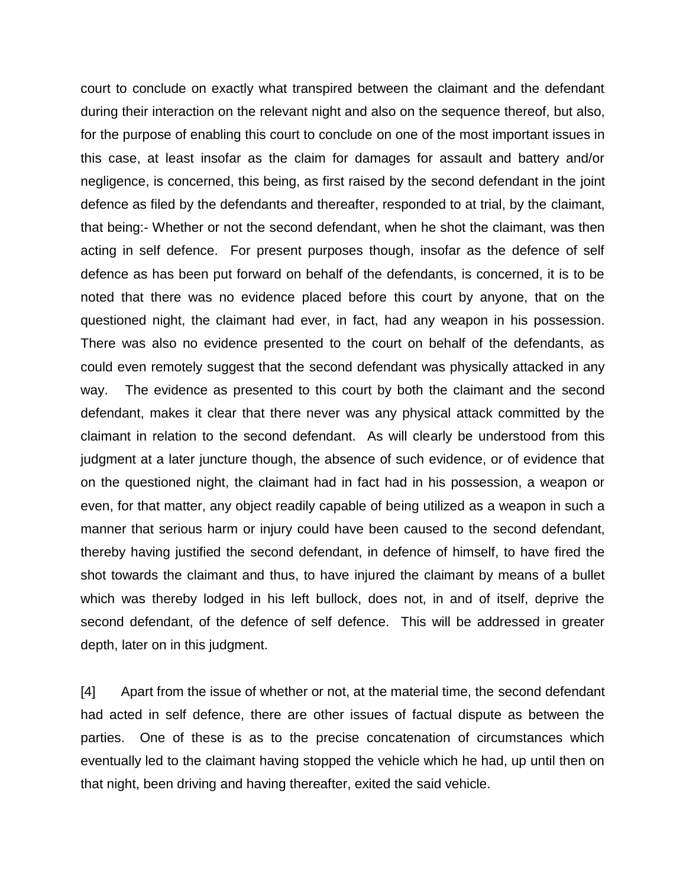court to conclude on exactly what transpired between the claimant and the defendant during their interaction on the relevant night and also on the sequence thereof, but also, for the purpose of enabling this court to conclude on one of the most important issues in this case, at least insofar as the claim for damages for assault and battery and/or negligence, is concerned, this being, as first raised by the second defendant in the joint defence as filed by the defendants and thereafter, responded to at trial, by the claimant, that being:- Whether or not the second defendant, when he shot the claimant, was then acting in self defence. For present purposes though, insofar as the defence of self defence as has been put forward on behalf of the defendants, is concerned, it is to be noted that there was no evidence placed before this court by anyone, that on the questioned night, the claimant had ever, in fact, had any weapon in his possession. There was also no evidence presented to the court on behalf of the defendants, as could even remotely suggest that the second defendant was physically attacked in any way. The evidence as presented to this court by both the claimant and the second defendant, makes it clear that there never was any physical attack committed by the claimant in relation to the second defendant. As will clearly be understood from this judgment at a later juncture though, the absence of such evidence, or of evidence that on the questioned night, the claimant had in fact had in his possession, a weapon or even, for that matter, any object readily capable of being utilized as a weapon in such a manner that serious harm or injury could have been caused to the second defendant, thereby having justified the second defendant, in defence of himself, to have fired the shot towards the claimant and thus, to have injured the claimant by means of a bullet which was thereby lodged in his left bullock, does not, in and of itself, deprive the second defendant, of the defence of self defence. This will be addressed in greater depth, later on in this judgment.

[4] Apart from the issue of whether or not, at the material time, the second defendant had acted in self defence, there are other issues of factual dispute as between the parties. One of these is as to the precise concatenation of circumstances which eventually led to the claimant having stopped the vehicle which he had, up until then on that night, been driving and having thereafter, exited the said vehicle.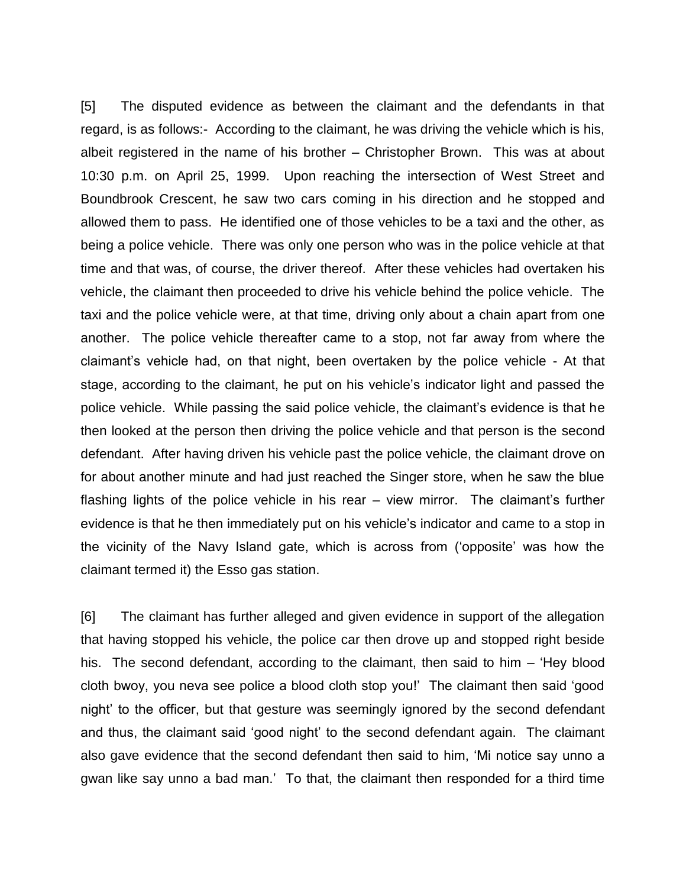[5] The disputed evidence as between the claimant and the defendants in that regard, is as follows:- According to the claimant, he was driving the vehicle which is his, albeit registered in the name of his brother – Christopher Brown. This was at about 10:30 p.m. on April 25, 1999. Upon reaching the intersection of West Street and Boundbrook Crescent, he saw two cars coming in his direction and he stopped and allowed them to pass. He identified one of those vehicles to be a taxi and the other, as being a police vehicle. There was only one person who was in the police vehicle at that time and that was, of course, the driver thereof. After these vehicles had overtaken his vehicle, the claimant then proceeded to drive his vehicle behind the police vehicle. The taxi and the police vehicle were, at that time, driving only about a chain apart from one another. The police vehicle thereafter came to a stop, not far away from where the claimant's vehicle had, on that night, been overtaken by the police vehicle - At that stage, according to the claimant, he put on his vehicle's indicator light and passed the police vehicle. While passing the said police vehicle, the claimant's evidence is that he then looked at the person then driving the police vehicle and that person is the second defendant. After having driven his vehicle past the police vehicle, the claimant drove on for about another minute and had just reached the Singer store, when he saw the blue flashing lights of the police vehicle in his rear – view mirror. The claimant's further evidence is that he then immediately put on his vehicle's indicator and came to a stop in the vicinity of the Navy Island gate, which is across from ('opposite' was how the claimant termed it) the Esso gas station.

[6] The claimant has further alleged and given evidence in support of the allegation that having stopped his vehicle, the police car then drove up and stopped right beside his. The second defendant, according to the claimant, then said to him – 'Hey blood cloth bwoy, you neva see police a blood cloth stop you!' The claimant then said 'good night' to the officer, but that gesture was seemingly ignored by the second defendant and thus, the claimant said 'good night' to the second defendant again. The claimant also gave evidence that the second defendant then said to him, 'Mi notice say unno a gwan like say unno a bad man.' To that, the claimant then responded for a third time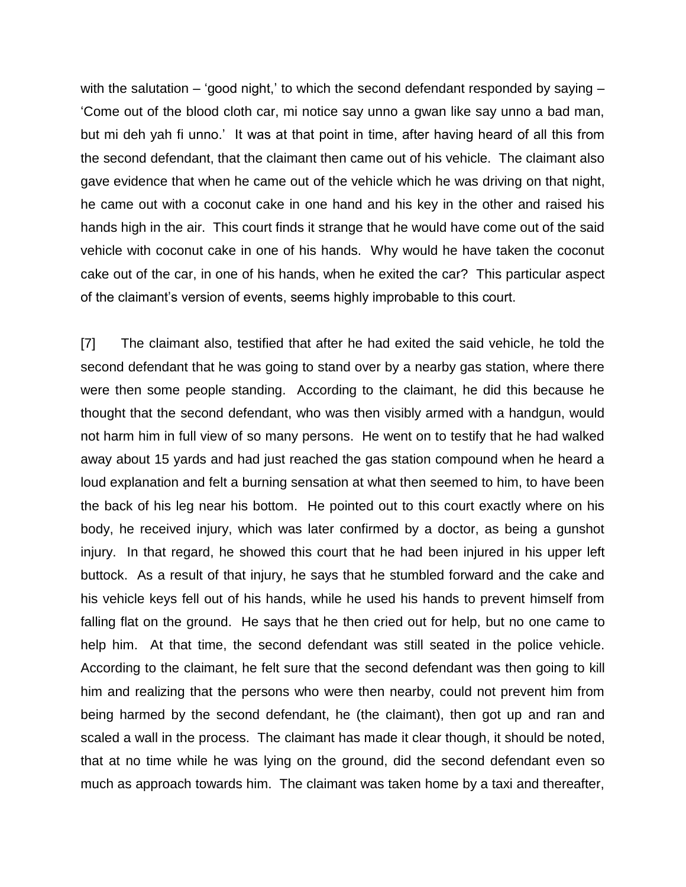with the salutation – 'good night,' to which the second defendant responded by saying  $-$ 'Come out of the blood cloth car, mi notice say unno a gwan like say unno a bad man, but mi deh yah fi unno.' It was at that point in time, after having heard of all this from the second defendant, that the claimant then came out of his vehicle. The claimant also gave evidence that when he came out of the vehicle which he was driving on that night, he came out with a coconut cake in one hand and his key in the other and raised his hands high in the air. This court finds it strange that he would have come out of the said vehicle with coconut cake in one of his hands. Why would he have taken the coconut cake out of the car, in one of his hands, when he exited the car? This particular aspect of the claimant's version of events, seems highly improbable to this court.

[7] The claimant also, testified that after he had exited the said vehicle, he told the second defendant that he was going to stand over by a nearby gas station, where there were then some people standing. According to the claimant, he did this because he thought that the second defendant, who was then visibly armed with a handgun, would not harm him in full view of so many persons. He went on to testify that he had walked away about 15 yards and had just reached the gas station compound when he heard a loud explanation and felt a burning sensation at what then seemed to him, to have been the back of his leg near his bottom. He pointed out to this court exactly where on his body, he received injury, which was later confirmed by a doctor, as being a gunshot injury. In that regard, he showed this court that he had been injured in his upper left buttock. As a result of that injury, he says that he stumbled forward and the cake and his vehicle keys fell out of his hands, while he used his hands to prevent himself from falling flat on the ground. He says that he then cried out for help, but no one came to help him. At that time, the second defendant was still seated in the police vehicle. According to the claimant, he felt sure that the second defendant was then going to kill him and realizing that the persons who were then nearby, could not prevent him from being harmed by the second defendant, he (the claimant), then got up and ran and scaled a wall in the process. The claimant has made it clear though, it should be noted, that at no time while he was lying on the ground, did the second defendant even so much as approach towards him. The claimant was taken home by a taxi and thereafter,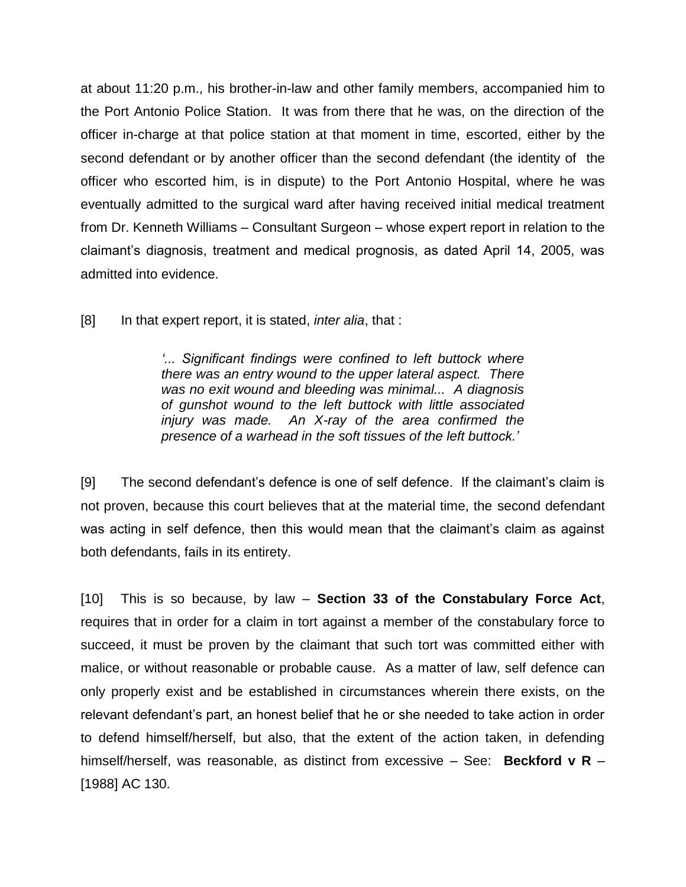at about 11:20 p.m., his brother-in-law and other family members, accompanied him to the Port Antonio Police Station. It was from there that he was, on the direction of the officer in-charge at that police station at that moment in time, escorted, either by the second defendant or by another officer than the second defendant (the identity of the officer who escorted him, is in dispute) to the Port Antonio Hospital, where he was eventually admitted to the surgical ward after having received initial medical treatment from Dr. Kenneth Williams – Consultant Surgeon – whose expert report in relation to the claimant's diagnosis, treatment and medical prognosis, as dated April 14, 2005, was admitted into evidence.

[8] In that expert report, it is stated, *inter alia*, that :

*'... Significant findings were confined to left buttock where there was an entry wound to the upper lateral aspect. There was no exit wound and bleeding was minimal... A diagnosis of gunshot wound to the left buttock with little associated injury was made. An X-ray of the area confirmed the presence of a warhead in the soft tissues of the left buttock.'*

[9] The second defendant's defence is one of self defence. If the claimant's claim is not proven, because this court believes that at the material time, the second defendant was acting in self defence, then this would mean that the claimant's claim as against both defendants, fails in its entirety.

[10] This is so because, by law – **Section 33 of the Constabulary Force Act**, requires that in order for a claim in tort against a member of the constabulary force to succeed, it must be proven by the claimant that such tort was committed either with malice, or without reasonable or probable cause. As a matter of law, self defence can only properly exist and be established in circumstances wherein there exists, on the relevant defendant's part, an honest belief that he or she needed to take action in order to defend himself/herself, but also, that the extent of the action taken, in defending himself/herself, was reasonable, as distinct from excessive – See: **Beckford v R** – [1988] AC 130.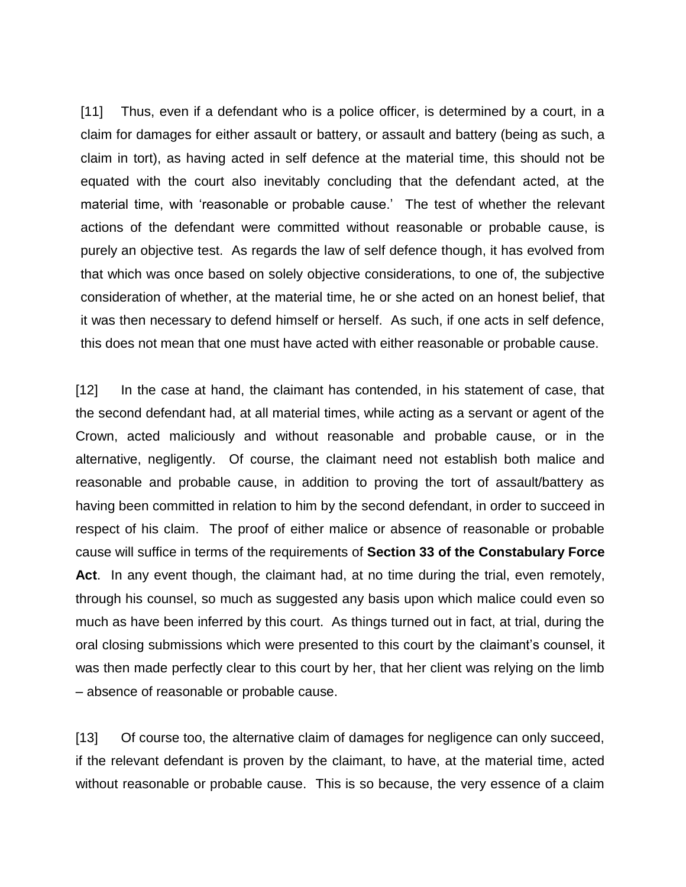[11] Thus, even if a defendant who is a police officer, is determined by a court, in a claim for damages for either assault or battery, or assault and battery (being as such, a claim in tort), as having acted in self defence at the material time, this should not be equated with the court also inevitably concluding that the defendant acted, at the material time, with 'reasonable or probable cause.' The test of whether the relevant actions of the defendant were committed without reasonable or probable cause, is purely an objective test. As regards the law of self defence though, it has evolved from that which was once based on solely objective considerations, to one of, the subjective consideration of whether, at the material time, he or she acted on an honest belief, that it was then necessary to defend himself or herself. As such, if one acts in self defence, this does not mean that one must have acted with either reasonable or probable cause.

[12] In the case at hand, the claimant has contended, in his statement of case, that the second defendant had, at all material times, while acting as a servant or agent of the Crown, acted maliciously and without reasonable and probable cause, or in the alternative, negligently. Of course, the claimant need not establish both malice and reasonable and probable cause, in addition to proving the tort of assault/battery as having been committed in relation to him by the second defendant, in order to succeed in respect of his claim. The proof of either malice or absence of reasonable or probable cause will suffice in terms of the requirements of **Section 33 of the Constabulary Force Act**. In any event though, the claimant had, at no time during the trial, even remotely, through his counsel, so much as suggested any basis upon which malice could even so much as have been inferred by this court. As things turned out in fact, at trial, during the oral closing submissions which were presented to this court by the claimant's counsel, it was then made perfectly clear to this court by her, that her client was relying on the limb – absence of reasonable or probable cause.

[13] Of course too, the alternative claim of damages for negligence can only succeed, if the relevant defendant is proven by the claimant, to have, at the material time, acted without reasonable or probable cause. This is so because, the very essence of a claim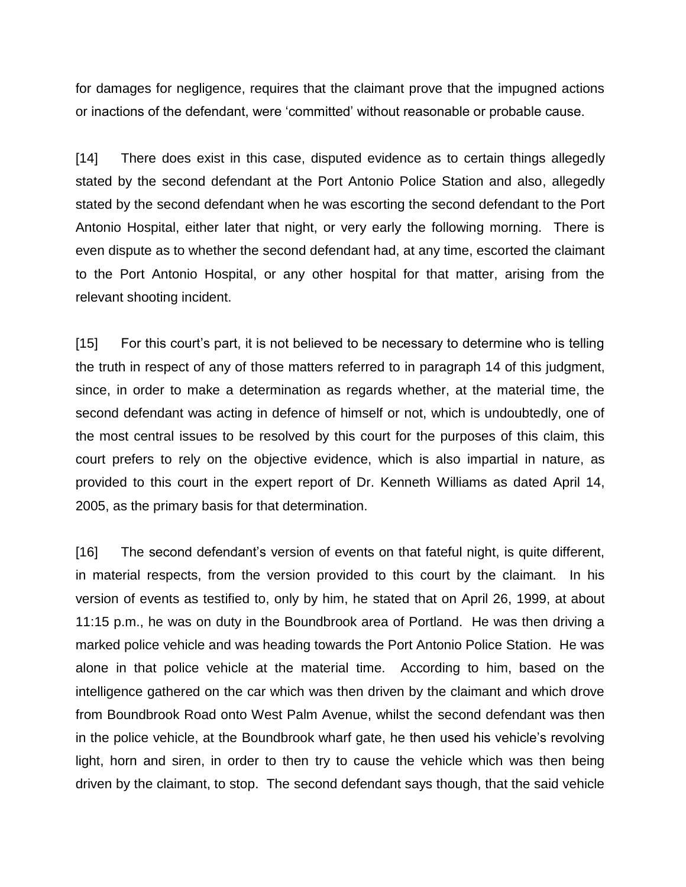for damages for negligence, requires that the claimant prove that the impugned actions or inactions of the defendant, were 'committed' without reasonable or probable cause.

[14] There does exist in this case, disputed evidence as to certain things allegedly stated by the second defendant at the Port Antonio Police Station and also, allegedly stated by the second defendant when he was escorting the second defendant to the Port Antonio Hospital, either later that night, or very early the following morning. There is even dispute as to whether the second defendant had, at any time, escorted the claimant to the Port Antonio Hospital, or any other hospital for that matter, arising from the relevant shooting incident.

[15] For this court's part, it is not believed to be necessary to determine who is telling the truth in respect of any of those matters referred to in paragraph 14 of this judgment, since, in order to make a determination as regards whether, at the material time, the second defendant was acting in defence of himself or not, which is undoubtedly, one of the most central issues to be resolved by this court for the purposes of this claim, this court prefers to rely on the objective evidence, which is also impartial in nature, as provided to this court in the expert report of Dr. Kenneth Williams as dated April 14, 2005, as the primary basis for that determination.

[16] The second defendant's version of events on that fateful night, is quite different, in material respects, from the version provided to this court by the claimant. In his version of events as testified to, only by him, he stated that on April 26, 1999, at about 11:15 p.m., he was on duty in the Boundbrook area of Portland. He was then driving a marked police vehicle and was heading towards the Port Antonio Police Station. He was alone in that police vehicle at the material time. According to him, based on the intelligence gathered on the car which was then driven by the claimant and which drove from Boundbrook Road onto West Palm Avenue, whilst the second defendant was then in the police vehicle, at the Boundbrook wharf gate, he then used his vehicle's revolving light, horn and siren, in order to then try to cause the vehicle which was then being driven by the claimant, to stop. The second defendant says though, that the said vehicle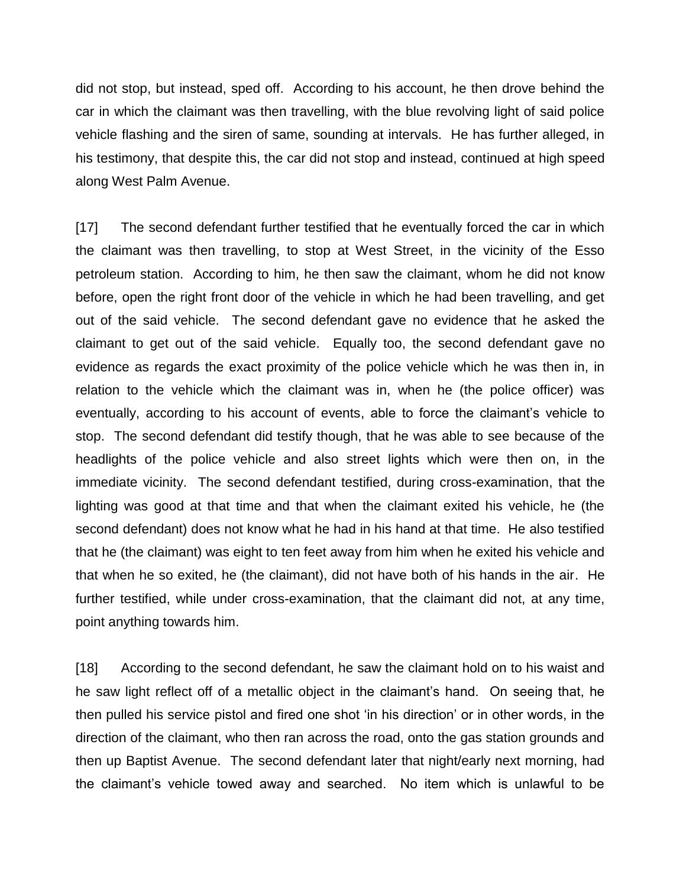did not stop, but instead, sped off. According to his account, he then drove behind the car in which the claimant was then travelling, with the blue revolving light of said police vehicle flashing and the siren of same, sounding at intervals. He has further alleged, in his testimony, that despite this, the car did not stop and instead, continued at high speed along West Palm Avenue.

[17] The second defendant further testified that he eventually forced the car in which the claimant was then travelling, to stop at West Street, in the vicinity of the Esso petroleum station. According to him, he then saw the claimant, whom he did not know before, open the right front door of the vehicle in which he had been travelling, and get out of the said vehicle. The second defendant gave no evidence that he asked the claimant to get out of the said vehicle. Equally too, the second defendant gave no evidence as regards the exact proximity of the police vehicle which he was then in, in relation to the vehicle which the claimant was in, when he (the police officer) was eventually, according to his account of events, able to force the claimant's vehicle to stop. The second defendant did testify though, that he was able to see because of the headlights of the police vehicle and also street lights which were then on, in the immediate vicinity. The second defendant testified, during cross-examination, that the lighting was good at that time and that when the claimant exited his vehicle, he (the second defendant) does not know what he had in his hand at that time. He also testified that he (the claimant) was eight to ten feet away from him when he exited his vehicle and that when he so exited, he (the claimant), did not have both of his hands in the air. He further testified, while under cross-examination, that the claimant did not, at any time, point anything towards him.

[18] According to the second defendant, he saw the claimant hold on to his waist and he saw light reflect off of a metallic object in the claimant's hand. On seeing that, he then pulled his service pistol and fired one shot 'in his direction' or in other words, in the direction of the claimant, who then ran across the road, onto the gas station grounds and then up Baptist Avenue. The second defendant later that night/early next morning, had the claimant's vehicle towed away and searched. No item which is unlawful to be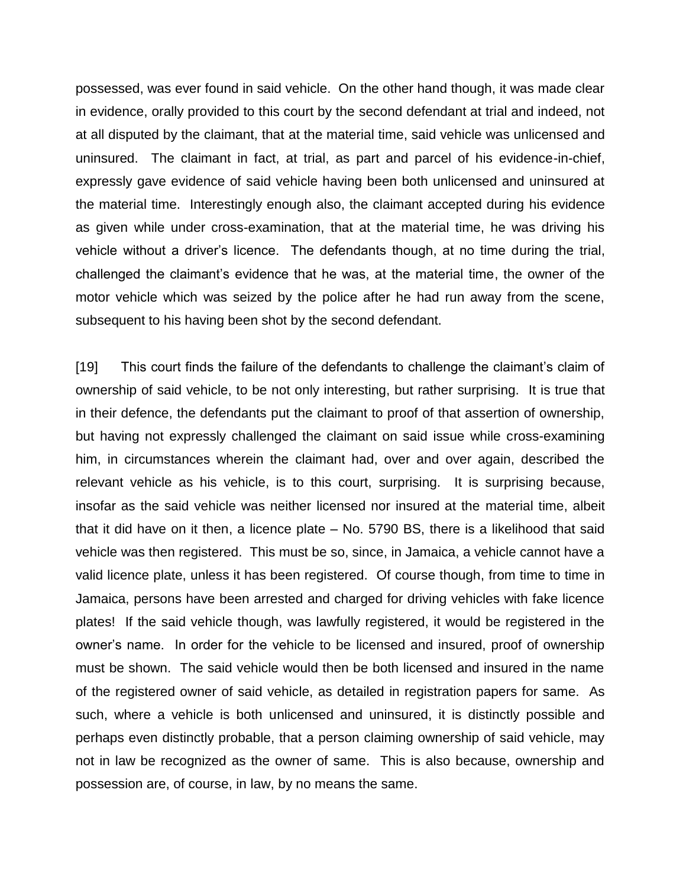possessed, was ever found in said vehicle. On the other hand though, it was made clear in evidence, orally provided to this court by the second defendant at trial and indeed, not at all disputed by the claimant, that at the material time, said vehicle was unlicensed and uninsured. The claimant in fact, at trial, as part and parcel of his evidence-in-chief, expressly gave evidence of said vehicle having been both unlicensed and uninsured at the material time. Interestingly enough also, the claimant accepted during his evidence as given while under cross-examination, that at the material time, he was driving his vehicle without a driver's licence. The defendants though, at no time during the trial, challenged the claimant's evidence that he was, at the material time, the owner of the motor vehicle which was seized by the police after he had run away from the scene, subsequent to his having been shot by the second defendant.

[19] This court finds the failure of the defendants to challenge the claimant's claim of ownership of said vehicle, to be not only interesting, but rather surprising. It is true that in their defence, the defendants put the claimant to proof of that assertion of ownership, but having not expressly challenged the claimant on said issue while cross-examining him, in circumstances wherein the claimant had, over and over again, described the relevant vehicle as his vehicle, is to this court, surprising. It is surprising because, insofar as the said vehicle was neither licensed nor insured at the material time, albeit that it did have on it then, a licence plate – No. 5790 BS, there is a likelihood that said vehicle was then registered. This must be so, since, in Jamaica, a vehicle cannot have a valid licence plate, unless it has been registered. Of course though, from time to time in Jamaica, persons have been arrested and charged for driving vehicles with fake licence plates! If the said vehicle though, was lawfully registered, it would be registered in the owner's name. In order for the vehicle to be licensed and insured, proof of ownership must be shown. The said vehicle would then be both licensed and insured in the name of the registered owner of said vehicle, as detailed in registration papers for same. As such, where a vehicle is both unlicensed and uninsured, it is distinctly possible and perhaps even distinctly probable, that a person claiming ownership of said vehicle, may not in law be recognized as the owner of same. This is also because, ownership and possession are, of course, in law, by no means the same.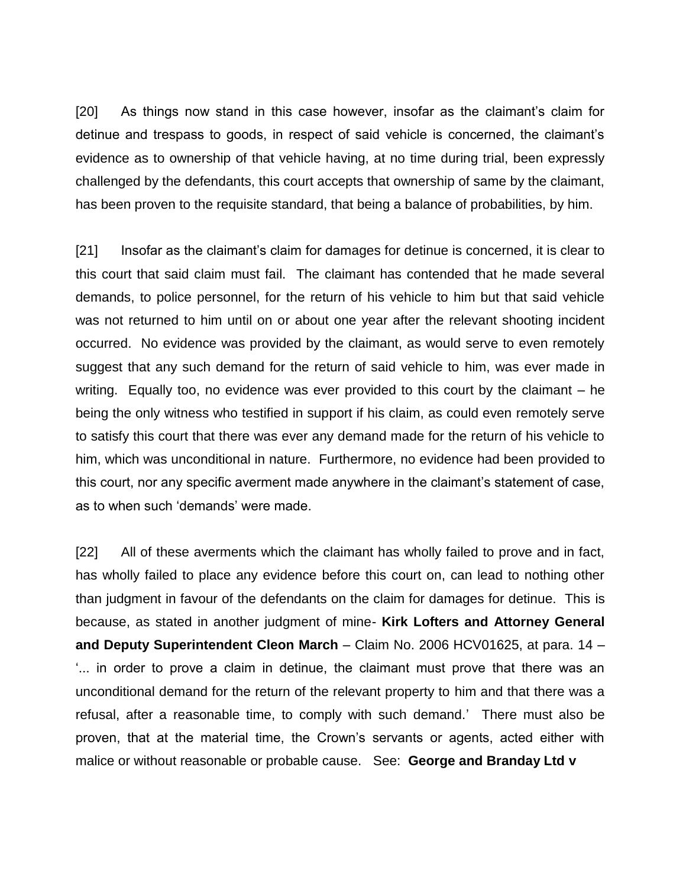[20] As things now stand in this case however, insofar as the claimant's claim for detinue and trespass to goods, in respect of said vehicle is concerned, the claimant's evidence as to ownership of that vehicle having, at no time during trial, been expressly challenged by the defendants, this court accepts that ownership of same by the claimant, has been proven to the requisite standard, that being a balance of probabilities, by him.

[21] Insofar as the claimant's claim for damages for detinue is concerned, it is clear to this court that said claim must fail. The claimant has contended that he made several demands, to police personnel, for the return of his vehicle to him but that said vehicle was not returned to him until on or about one year after the relevant shooting incident occurred. No evidence was provided by the claimant, as would serve to even remotely suggest that any such demand for the return of said vehicle to him, was ever made in writing. Equally too, no evidence was ever provided to this court by the claimant – he being the only witness who testified in support if his claim, as could even remotely serve to satisfy this court that there was ever any demand made for the return of his vehicle to him, which was unconditional in nature. Furthermore, no evidence had been provided to this court, nor any specific averment made anywhere in the claimant's statement of case, as to when such 'demands' were made.

[22] All of these averments which the claimant has wholly failed to prove and in fact, has wholly failed to place any evidence before this court on, can lead to nothing other than judgment in favour of the defendants on the claim for damages for detinue. This is because, as stated in another judgment of mine- **Kirk Lofters and Attorney General and Deputy Superintendent Cleon March** – Claim No. 2006 HCV01625, at para. 14 – '... in order to prove a claim in detinue, the claimant must prove that there was an unconditional demand for the return of the relevant property to him and that there was a refusal, after a reasonable time, to comply with such demand.' There must also be proven, that at the material time, the Crown's servants or agents, acted either with malice or without reasonable or probable cause. See: **George and Branday Ltd v**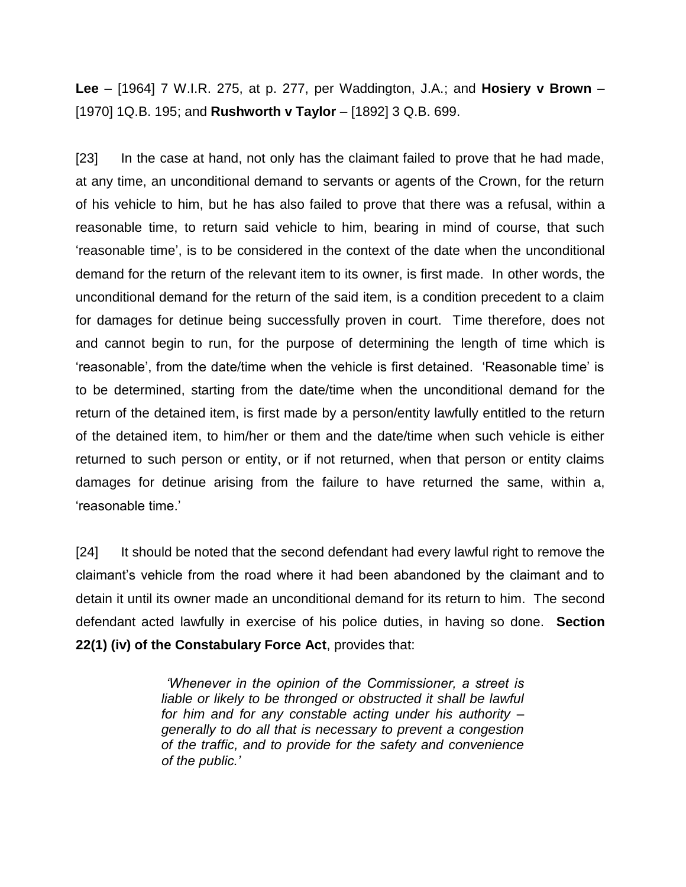**Lee** – [1964] 7 W.I.R. 275, at p. 277, per Waddington, J.A.; and **Hosiery v Brown** – [1970] 1Q.B. 195; and **Rushworth v Taylor** – [1892] 3 Q.B. 699.

[23] In the case at hand, not only has the claimant failed to prove that he had made, at any time, an unconditional demand to servants or agents of the Crown, for the return of his vehicle to him, but he has also failed to prove that there was a refusal, within a reasonable time, to return said vehicle to him, bearing in mind of course, that such 'reasonable time', is to be considered in the context of the date when the unconditional demand for the return of the relevant item to its owner, is first made. In other words, the unconditional demand for the return of the said item, is a condition precedent to a claim for damages for detinue being successfully proven in court. Time therefore, does not and cannot begin to run, for the purpose of determining the length of time which is 'reasonable', from the date/time when the vehicle is first detained. 'Reasonable time' is to be determined, starting from the date/time when the unconditional demand for the return of the detained item, is first made by a person/entity lawfully entitled to the return of the detained item, to him/her or them and the date/time when such vehicle is either returned to such person or entity, or if not returned, when that person or entity claims damages for detinue arising from the failure to have returned the same, within a, 'reasonable time.'

[24] It should be noted that the second defendant had every lawful right to remove the claimant's vehicle from the road where it had been abandoned by the claimant and to detain it until its owner made an unconditional demand for its return to him. The second defendant acted lawfully in exercise of his police duties, in having so done. **Section 22(1) (iv) of the Constabulary Force Act**, provides that:

> *'Whenever in the opinion of the Commissioner, a street is*  liable or likely to be thronged or obstructed it shall be lawful *for him and for any constable acting under his authority – generally to do all that is necessary to prevent a congestion of the traffic, and to provide for the safety and convenience of the public.'*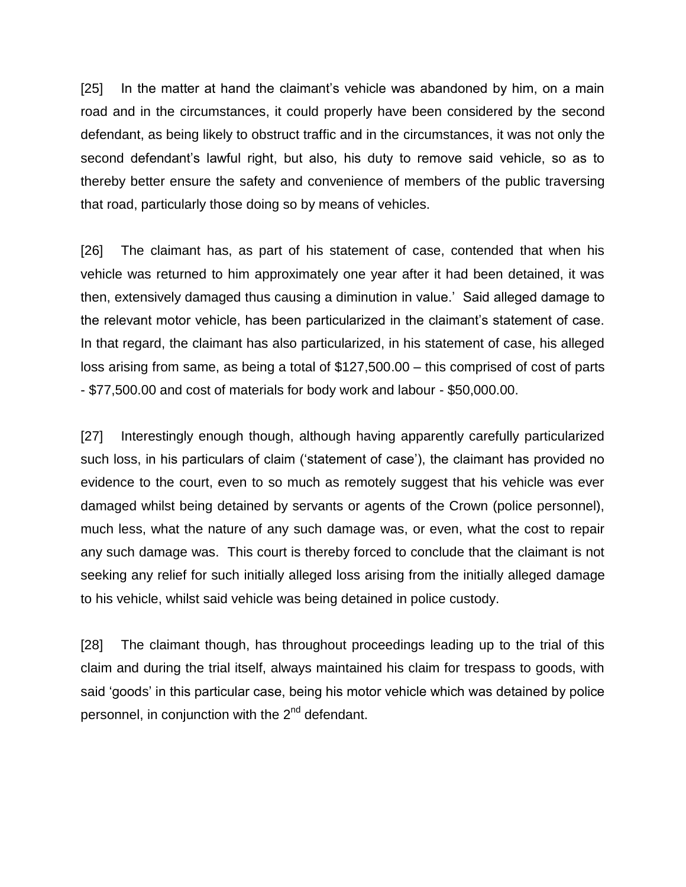[25] In the matter at hand the claimant's vehicle was abandoned by him, on a main road and in the circumstances, it could properly have been considered by the second defendant, as being likely to obstruct traffic and in the circumstances, it was not only the second defendant's lawful right, but also, his duty to remove said vehicle, so as to thereby better ensure the safety and convenience of members of the public traversing that road, particularly those doing so by means of vehicles.

[26] The claimant has, as part of his statement of case, contended that when his vehicle was returned to him approximately one year after it had been detained, it was then, extensively damaged thus causing a diminution in value.' Said alleged damage to the relevant motor vehicle, has been particularized in the claimant's statement of case. In that regard, the claimant has also particularized, in his statement of case, his alleged loss arising from same, as being a total of \$127,500.00 – this comprised of cost of parts - \$77,500.00 and cost of materials for body work and labour - \$50,000.00.

[27] Interestingly enough though, although having apparently carefully particularized such loss, in his particulars of claim ('statement of case'), the claimant has provided no evidence to the court, even to so much as remotely suggest that his vehicle was ever damaged whilst being detained by servants or agents of the Crown (police personnel), much less, what the nature of any such damage was, or even, what the cost to repair any such damage was. This court is thereby forced to conclude that the claimant is not seeking any relief for such initially alleged loss arising from the initially alleged damage to his vehicle, whilst said vehicle was being detained in police custody.

[28] The claimant though, has throughout proceedings leading up to the trial of this claim and during the trial itself, always maintained his claim for trespass to goods, with said 'goods' in this particular case, being his motor vehicle which was detained by police personnel, in conjunction with the 2<sup>nd</sup> defendant.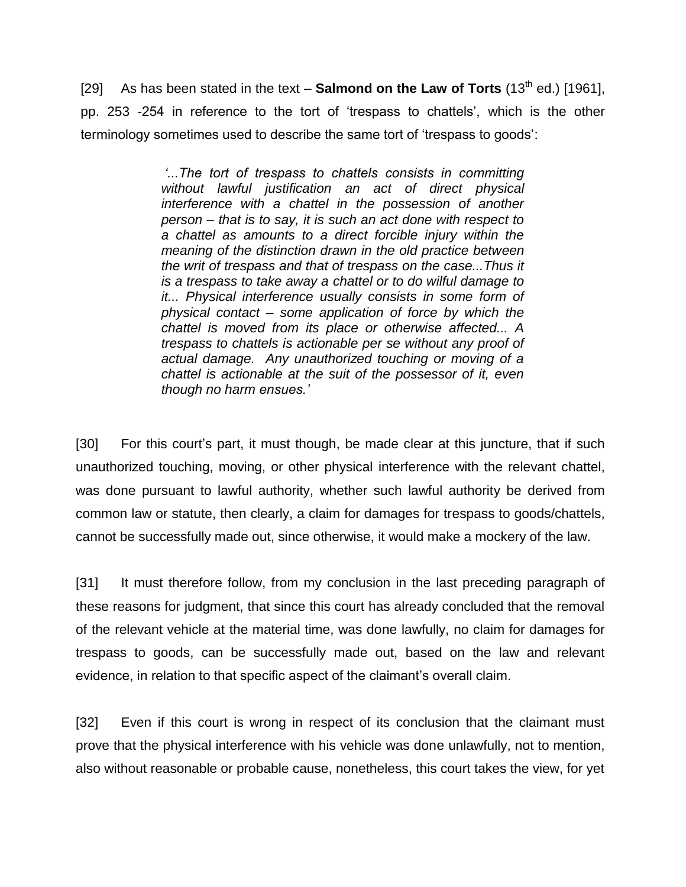[29] As has been stated in the text – **Salmond on the Law of Torts** (13<sup>th</sup> ed.) [1961], pp. 253 -254 in reference to the tort of 'trespass to chattels', which is the other terminology sometimes used to describe the same tort of 'trespass to goods':

> *'...The tort of trespass to chattels consists in committing without lawful justification an act of direct physical interference with a chattel in the possession of another person – that is to say, it is such an act done with respect to a chattel as amounts to a direct forcible injury within the meaning of the distinction drawn in the old practice between the writ of trespass and that of trespass on the case...Thus it is a trespass to take away a chattel or to do wilful damage to it... Physical interference usually consists in some form of physical contact – some application of force by which the chattel is moved from its place or otherwise affected... A trespass to chattels is actionable per se without any proof of actual damage. Any unauthorized touching or moving of a chattel is actionable at the suit of the possessor of it, even though no harm ensues.'*

[30] For this court's part, it must though, be made clear at this juncture, that if such unauthorized touching, moving, or other physical interference with the relevant chattel, was done pursuant to lawful authority, whether such lawful authority be derived from common law or statute, then clearly, a claim for damages for trespass to goods/chattels, cannot be successfully made out, since otherwise, it would make a mockery of the law.

[31] It must therefore follow, from my conclusion in the last preceding paragraph of these reasons for judgment, that since this court has already concluded that the removal of the relevant vehicle at the material time, was done lawfully, no claim for damages for trespass to goods, can be successfully made out, based on the law and relevant evidence, in relation to that specific aspect of the claimant's overall claim.

[32] Even if this court is wrong in respect of its conclusion that the claimant must prove that the physical interference with his vehicle was done unlawfully, not to mention, also without reasonable or probable cause, nonetheless, this court takes the view, for yet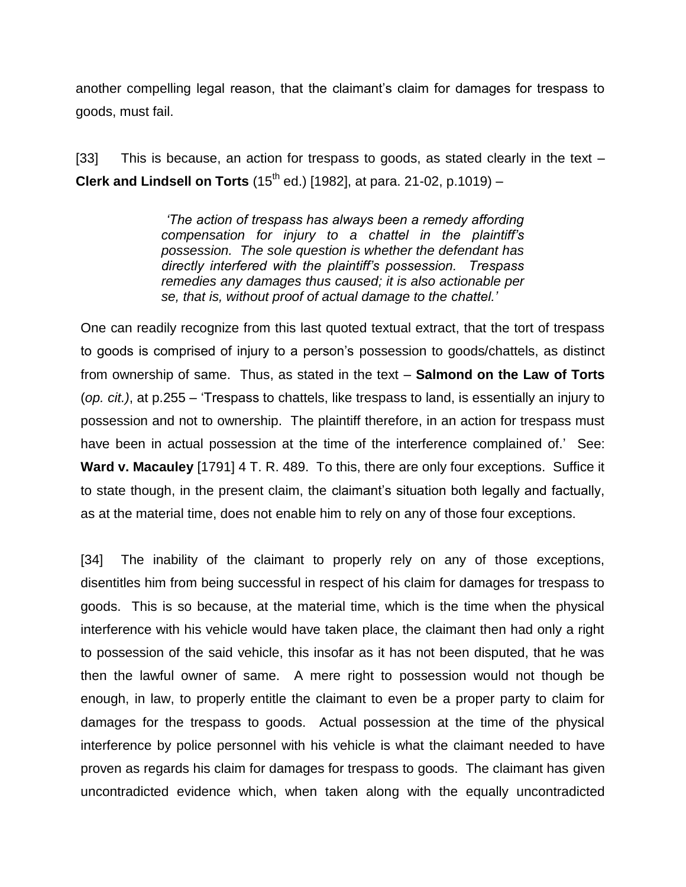another compelling legal reason, that the claimant's claim for damages for trespass to goods, must fail.

[33] This is because, an action for trespass to goods, as stated clearly in the text – **Clerk and Lindsell on Torts** (15<sup>th</sup> ed.) [1982], at para. 21-02, p.1019) -

> *'The action of trespass has always been a remedy affording compensation for injury to a chattel in the plaintiff's possession. The sole question is whether the defendant has directly interfered with the plaintiff's possession. Trespass remedies any damages thus caused; it is also actionable per se, that is, without proof of actual damage to the chattel.'*

One can readily recognize from this last quoted textual extract, that the tort of trespass to goods is comprised of injury to a person's possession to goods/chattels, as distinct from ownership of same. Thus, as stated in the text – **Salmond on the Law of Torts** (*op. cit.)*, at p.255 – 'Trespass to chattels, like trespass to land, is essentially an injury to possession and not to ownership. The plaintiff therefore, in an action for trespass must have been in actual possession at the time of the interference complained of.' See: **Ward v. Macauley** [1791] 4 T. R. 489. To this, there are only four exceptions. Suffice it to state though, in the present claim, the claimant's situation both legally and factually, as at the material time, does not enable him to rely on any of those four exceptions.

[34] The inability of the claimant to properly rely on any of those exceptions, disentitles him from being successful in respect of his claim for damages for trespass to goods. This is so because, at the material time, which is the time when the physical interference with his vehicle would have taken place, the claimant then had only a right to possession of the said vehicle, this insofar as it has not been disputed, that he was then the lawful owner of same. A mere right to possession would not though be enough, in law, to properly entitle the claimant to even be a proper party to claim for damages for the trespass to goods. Actual possession at the time of the physical interference by police personnel with his vehicle is what the claimant needed to have proven as regards his claim for damages for trespass to goods. The claimant has given uncontradicted evidence which, when taken along with the equally uncontradicted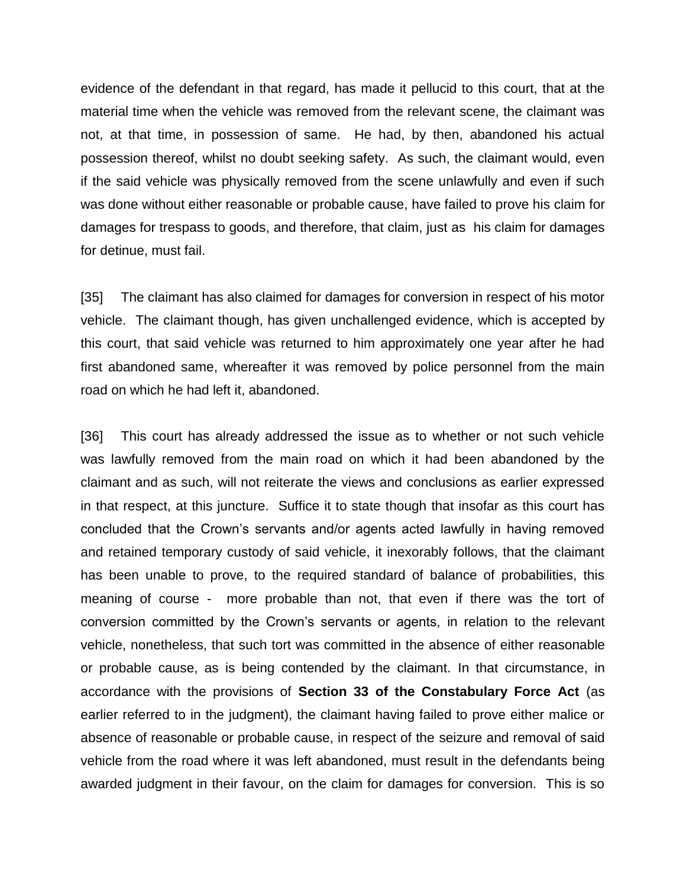evidence of the defendant in that regard, has made it pellucid to this court, that at the material time when the vehicle was removed from the relevant scene, the claimant was not, at that time, in possession of same. He had, by then, abandoned his actual possession thereof, whilst no doubt seeking safety. As such, the claimant would, even if the said vehicle was physically removed from the scene unlawfully and even if such was done without either reasonable or probable cause, have failed to prove his claim for damages for trespass to goods, and therefore, that claim, just as his claim for damages for detinue, must fail.

[35] The claimant has also claimed for damages for conversion in respect of his motor vehicle. The claimant though, has given unchallenged evidence, which is accepted by this court, that said vehicle was returned to him approximately one year after he had first abandoned same, whereafter it was removed by police personnel from the main road on which he had left it, abandoned.

[36] This court has already addressed the issue as to whether or not such vehicle was lawfully removed from the main road on which it had been abandoned by the claimant and as such, will not reiterate the views and conclusions as earlier expressed in that respect, at this juncture. Suffice it to state though that insofar as this court has concluded that the Crown's servants and/or agents acted lawfully in having removed and retained temporary custody of said vehicle, it inexorably follows, that the claimant has been unable to prove, to the required standard of balance of probabilities, this meaning of course - more probable than not, that even if there was the tort of conversion committed by the Crown's servants or agents, in relation to the relevant vehicle, nonetheless, that such tort was committed in the absence of either reasonable or probable cause, as is being contended by the claimant. In that circumstance, in accordance with the provisions of **Section 33 of the Constabulary Force Act** (as earlier referred to in the judgment), the claimant having failed to prove either malice or absence of reasonable or probable cause, in respect of the seizure and removal of said vehicle from the road where it was left abandoned, must result in the defendants being awarded judgment in their favour, on the claim for damages for conversion. This is so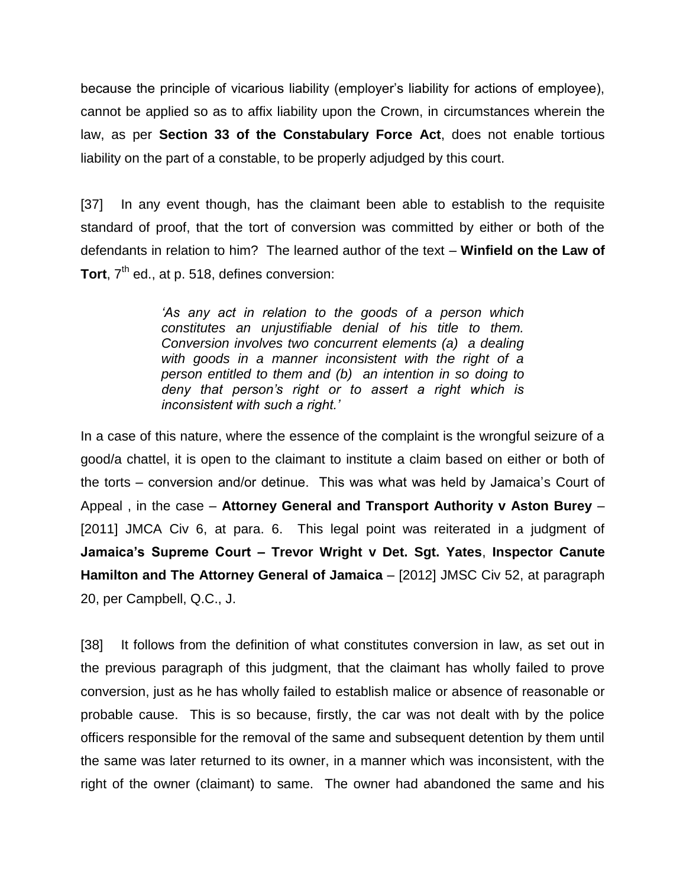because the principle of vicarious liability (employer's liability for actions of employee), cannot be applied so as to affix liability upon the Crown, in circumstances wherein the law, as per **Section 33 of the Constabulary Force Act**, does not enable tortious liability on the part of a constable, to be properly adjudged by this court.

[37] In any event though, has the claimant been able to establish to the requisite standard of proof, that the tort of conversion was committed by either or both of the defendants in relation to him? The learned author of the text – **Winfield on the Law of**  Tort, 7<sup>th</sup> ed., at p. 518, defines conversion:

> *'As any act in relation to the goods of a person which constitutes an unjustifiable denial of his title to them. Conversion involves two concurrent elements (a) a dealing with goods in a manner inconsistent with the right of a person entitled to them and (b) an intention in so doing to deny that person's right or to assert a right which is inconsistent with such a right.'*

In a case of this nature, where the essence of the complaint is the wrongful seizure of a good/a chattel, it is open to the claimant to institute a claim based on either or both of the torts – conversion and/or detinue. This was what was held by Jamaica's Court of Appeal , in the case – **Attorney General and Transport Authority v Aston Burey** – [2011] JMCA Civ 6, at para. 6. This legal point was reiterated in a judgment of **Jamaica's Supreme Court – Trevor Wright v Det. Sgt. Yates**, **Inspector Canute Hamilton and The Attorney General of Jamaica** – [2012] JMSC Civ 52, at paragraph 20, per Campbell, Q.C., J.

[38] It follows from the definition of what constitutes conversion in law, as set out in the previous paragraph of this judgment, that the claimant has wholly failed to prove conversion, just as he has wholly failed to establish malice or absence of reasonable or probable cause. This is so because, firstly, the car was not dealt with by the police officers responsible for the removal of the same and subsequent detention by them until the same was later returned to its owner, in a manner which was inconsistent, with the right of the owner (claimant) to same. The owner had abandoned the same and his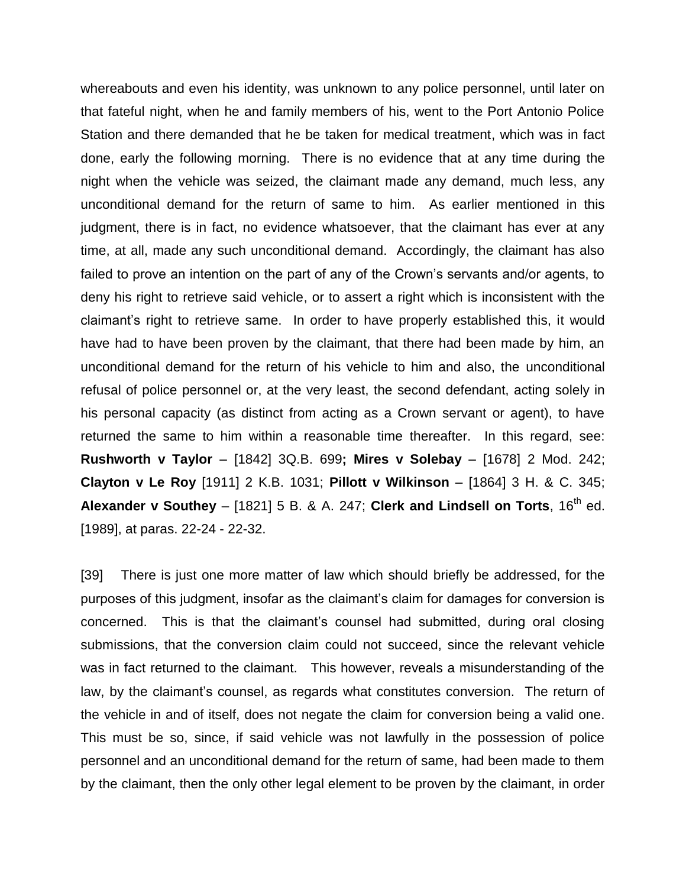whereabouts and even his identity, was unknown to any police personnel, until later on that fateful night, when he and family members of his, went to the Port Antonio Police Station and there demanded that he be taken for medical treatment, which was in fact done, early the following morning. There is no evidence that at any time during the night when the vehicle was seized, the claimant made any demand, much less, any unconditional demand for the return of same to him. As earlier mentioned in this judgment, there is in fact, no evidence whatsoever, that the claimant has ever at any time, at all, made any such unconditional demand. Accordingly, the claimant has also failed to prove an intention on the part of any of the Crown's servants and/or agents, to deny his right to retrieve said vehicle, or to assert a right which is inconsistent with the claimant's right to retrieve same. In order to have properly established this, it would have had to have been proven by the claimant, that there had been made by him, an unconditional demand for the return of his vehicle to him and also, the unconditional refusal of police personnel or, at the very least, the second defendant, acting solely in his personal capacity (as distinct from acting as a Crown servant or agent), to have returned the same to him within a reasonable time thereafter. In this regard, see: **Rushworth v Taylor** – [1842] 3Q.B. 699**; Mires v Solebay** – [1678] 2 Mod. 242; **Clayton v Le Roy** [1911] 2 K.B. 1031; **Pillott v Wilkinson** – [1864] 3 H. & C. 345; **Alexander v Southey** – [1821] 5 B. & A. 247; Clerk and Lindsell on Torts,  $16<sup>th</sup>$  ed. [1989], at paras. 22-24 - 22-32.

[39] There is just one more matter of law which should briefly be addressed, for the purposes of this judgment, insofar as the claimant's claim for damages for conversion is concerned. This is that the claimant's counsel had submitted, during oral closing submissions, that the conversion claim could not succeed, since the relevant vehicle was in fact returned to the claimant. This however, reveals a misunderstanding of the law, by the claimant's counsel, as regards what constitutes conversion. The return of the vehicle in and of itself, does not negate the claim for conversion being a valid one. This must be so, since, if said vehicle was not lawfully in the possession of police personnel and an unconditional demand for the return of same, had been made to them by the claimant, then the only other legal element to be proven by the claimant, in order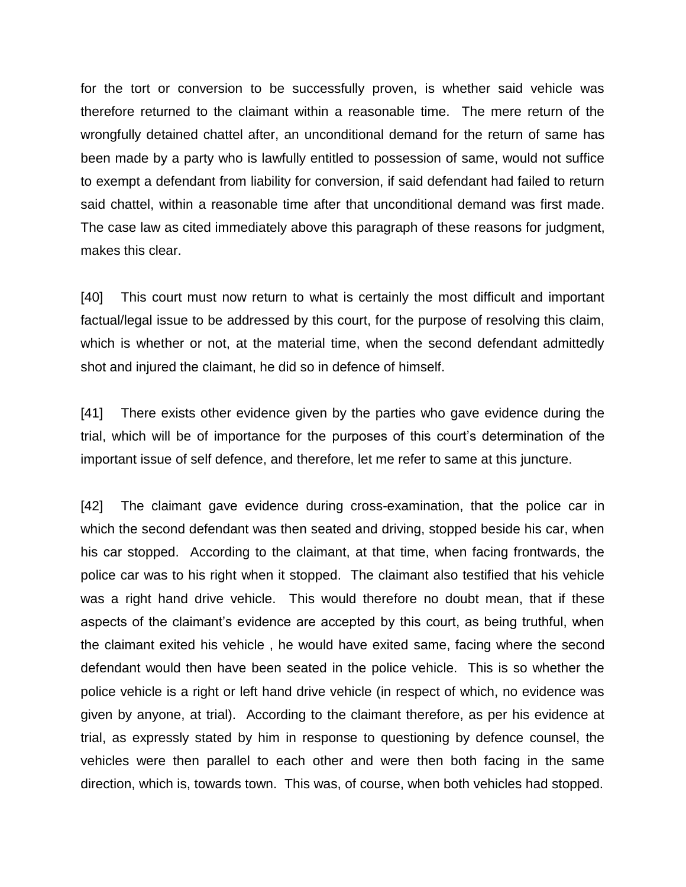for the tort or conversion to be successfully proven, is whether said vehicle was therefore returned to the claimant within a reasonable time. The mere return of the wrongfully detained chattel after, an unconditional demand for the return of same has been made by a party who is lawfully entitled to possession of same, would not suffice to exempt a defendant from liability for conversion, if said defendant had failed to return said chattel, within a reasonable time after that unconditional demand was first made. The case law as cited immediately above this paragraph of these reasons for judgment, makes this clear.

[40] This court must now return to what is certainly the most difficult and important factual/legal issue to be addressed by this court, for the purpose of resolving this claim, which is whether or not, at the material time, when the second defendant admittedly shot and injured the claimant, he did so in defence of himself.

[41] There exists other evidence given by the parties who gave evidence during the trial, which will be of importance for the purposes of this court's determination of the important issue of self defence, and therefore, let me refer to same at this juncture.

[42] The claimant gave evidence during cross-examination, that the police car in which the second defendant was then seated and driving, stopped beside his car, when his car stopped. According to the claimant, at that time, when facing frontwards, the police car was to his right when it stopped. The claimant also testified that his vehicle was a right hand drive vehicle. This would therefore no doubt mean, that if these aspects of the claimant's evidence are accepted by this court, as being truthful, when the claimant exited his vehicle , he would have exited same, facing where the second defendant would then have been seated in the police vehicle. This is so whether the police vehicle is a right or left hand drive vehicle (in respect of which, no evidence was given by anyone, at trial). According to the claimant therefore, as per his evidence at trial, as expressly stated by him in response to questioning by defence counsel, the vehicles were then parallel to each other and were then both facing in the same direction, which is, towards town. This was, of course, when both vehicles had stopped.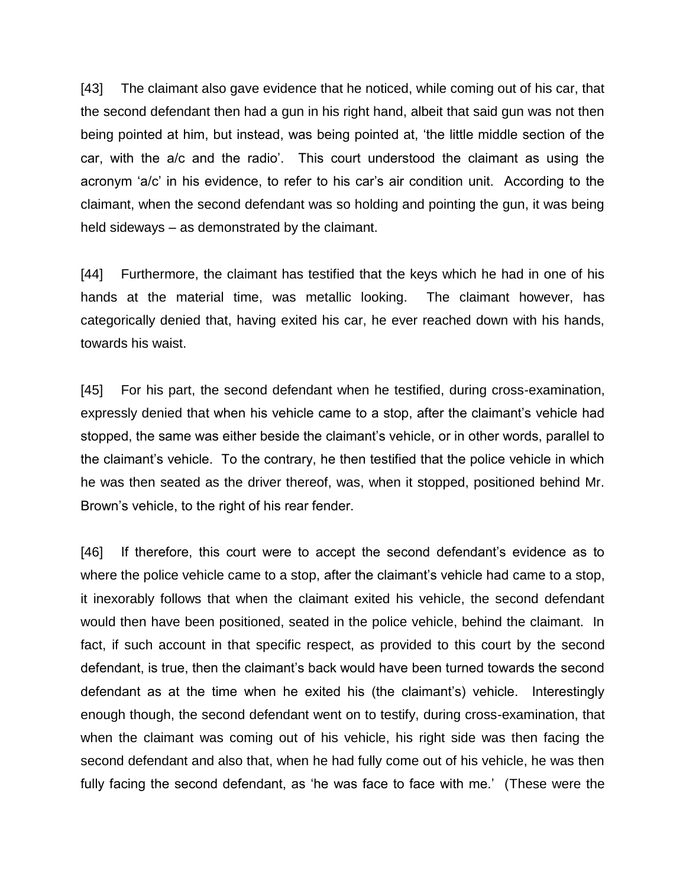[43] The claimant also gave evidence that he noticed, while coming out of his car, that the second defendant then had a gun in his right hand, albeit that said gun was not then being pointed at him, but instead, was being pointed at, 'the little middle section of the car, with the a/c and the radio'. This court understood the claimant as using the acronym 'a/c' in his evidence, to refer to his car's air condition unit. According to the claimant, when the second defendant was so holding and pointing the gun, it was being held sideways – as demonstrated by the claimant.

[44] Furthermore, the claimant has testified that the keys which he had in one of his hands at the material time, was metallic looking. The claimant however, has categorically denied that, having exited his car, he ever reached down with his hands, towards his waist.

[45] For his part, the second defendant when he testified, during cross-examination, expressly denied that when his vehicle came to a stop, after the claimant's vehicle had stopped, the same was either beside the claimant's vehicle, or in other words, parallel to the claimant's vehicle. To the contrary, he then testified that the police vehicle in which he was then seated as the driver thereof, was, when it stopped, positioned behind Mr. Brown's vehicle, to the right of his rear fender.

[46] If therefore, this court were to accept the second defendant's evidence as to where the police vehicle came to a stop, after the claimant's vehicle had came to a stop, it inexorably follows that when the claimant exited his vehicle, the second defendant would then have been positioned, seated in the police vehicle, behind the claimant. In fact, if such account in that specific respect, as provided to this court by the second defendant, is true, then the claimant's back would have been turned towards the second defendant as at the time when he exited his (the claimant's) vehicle. Interestingly enough though, the second defendant went on to testify, during cross-examination, that when the claimant was coming out of his vehicle, his right side was then facing the second defendant and also that, when he had fully come out of his vehicle, he was then fully facing the second defendant, as 'he was face to face with me.' (These were the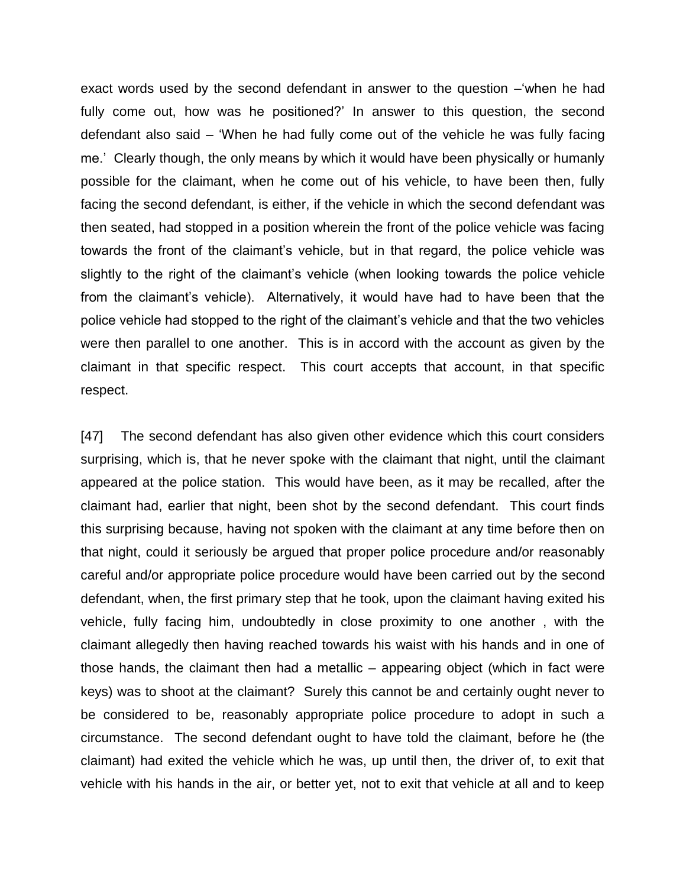exact words used by the second defendant in answer to the question –'when he had fully come out, how was he positioned?' In answer to this question, the second defendant also said – 'When he had fully come out of the vehicle he was fully facing me.' Clearly though, the only means by which it would have been physically or humanly possible for the claimant, when he come out of his vehicle, to have been then, fully facing the second defendant, is either, if the vehicle in which the second defendant was then seated, had stopped in a position wherein the front of the police vehicle was facing towards the front of the claimant's vehicle, but in that regard, the police vehicle was slightly to the right of the claimant's vehicle (when looking towards the police vehicle from the claimant's vehicle). Alternatively, it would have had to have been that the police vehicle had stopped to the right of the claimant's vehicle and that the two vehicles were then parallel to one another. This is in accord with the account as given by the claimant in that specific respect. This court accepts that account, in that specific respect.

[47] The second defendant has also given other evidence which this court considers surprising, which is, that he never spoke with the claimant that night, until the claimant appeared at the police station. This would have been, as it may be recalled, after the claimant had, earlier that night, been shot by the second defendant. This court finds this surprising because, having not spoken with the claimant at any time before then on that night, could it seriously be argued that proper police procedure and/or reasonably careful and/or appropriate police procedure would have been carried out by the second defendant, when, the first primary step that he took, upon the claimant having exited his vehicle, fully facing him, undoubtedly in close proximity to one another , with the claimant allegedly then having reached towards his waist with his hands and in one of those hands, the claimant then had a metallic – appearing object (which in fact were keys) was to shoot at the claimant? Surely this cannot be and certainly ought never to be considered to be, reasonably appropriate police procedure to adopt in such a circumstance. The second defendant ought to have told the claimant, before he (the claimant) had exited the vehicle which he was, up until then, the driver of, to exit that vehicle with his hands in the air, or better yet, not to exit that vehicle at all and to keep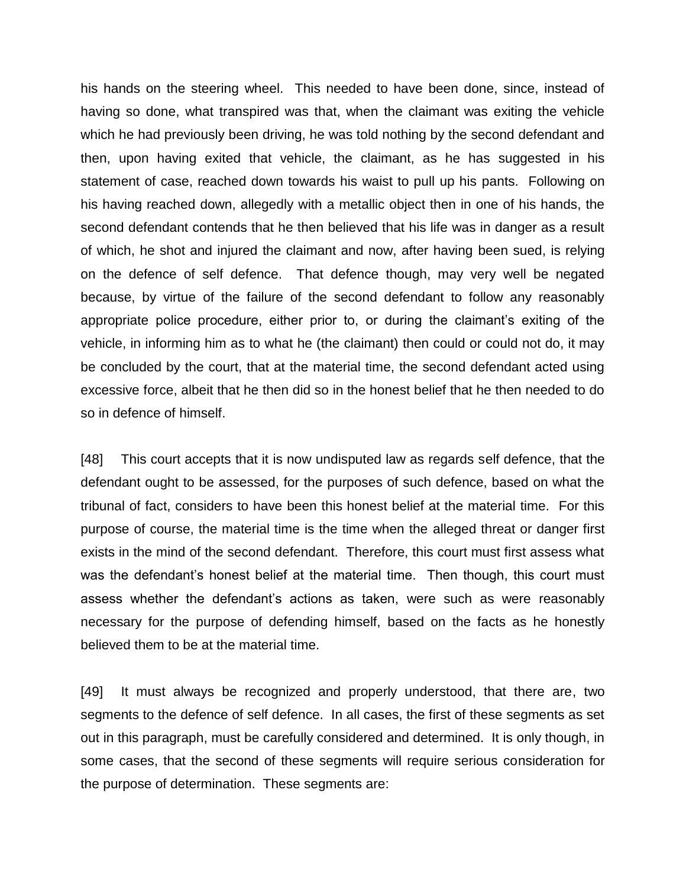his hands on the steering wheel. This needed to have been done, since, instead of having so done, what transpired was that, when the claimant was exiting the vehicle which he had previously been driving, he was told nothing by the second defendant and then, upon having exited that vehicle, the claimant, as he has suggested in his statement of case, reached down towards his waist to pull up his pants. Following on his having reached down, allegedly with a metallic object then in one of his hands, the second defendant contends that he then believed that his life was in danger as a result of which, he shot and injured the claimant and now, after having been sued, is relying on the defence of self defence. That defence though, may very well be negated because, by virtue of the failure of the second defendant to follow any reasonably appropriate police procedure, either prior to, or during the claimant's exiting of the vehicle, in informing him as to what he (the claimant) then could or could not do, it may be concluded by the court, that at the material time, the second defendant acted using excessive force, albeit that he then did so in the honest belief that he then needed to do so in defence of himself.

[48] This court accepts that it is now undisputed law as regards self defence, that the defendant ought to be assessed, for the purposes of such defence, based on what the tribunal of fact, considers to have been this honest belief at the material time. For this purpose of course, the material time is the time when the alleged threat or danger first exists in the mind of the second defendant. Therefore, this court must first assess what was the defendant's honest belief at the material time. Then though, this court must assess whether the defendant's actions as taken, were such as were reasonably necessary for the purpose of defending himself, based on the facts as he honestly believed them to be at the material time.

[49] It must always be recognized and properly understood, that there are, two segments to the defence of self defence. In all cases, the first of these segments as set out in this paragraph, must be carefully considered and determined. It is only though, in some cases, that the second of these segments will require serious consideration for the purpose of determination. These segments are: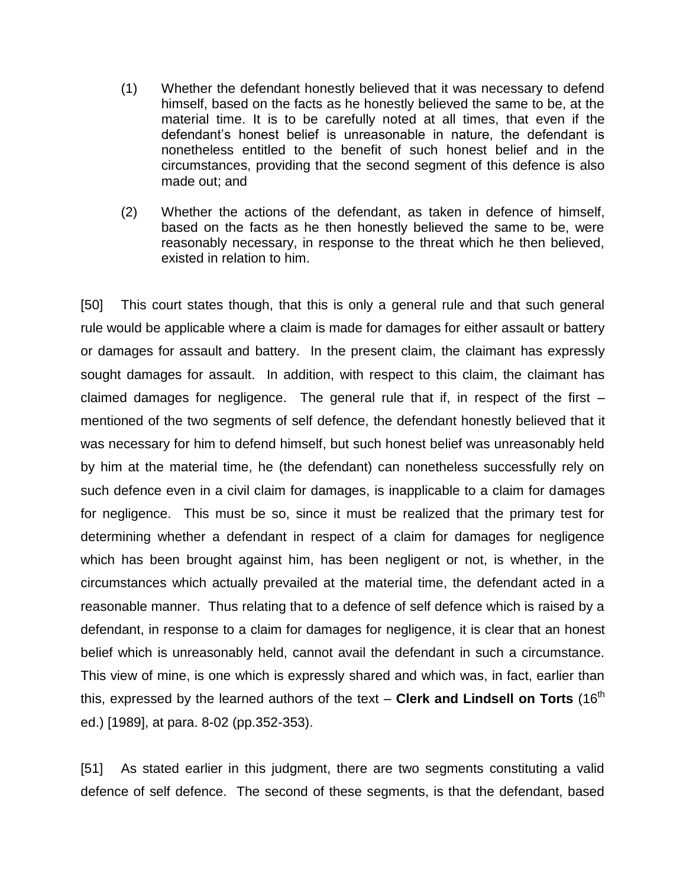- (1) Whether the defendant honestly believed that it was necessary to defend himself, based on the facts as he honestly believed the same to be, at the material time. It is to be carefully noted at all times, that even if the defendant's honest belief is unreasonable in nature, the defendant is nonetheless entitled to the benefit of such honest belief and in the circumstances, providing that the second segment of this defence is also made out; and
- (2) Whether the actions of the defendant, as taken in defence of himself, based on the facts as he then honestly believed the same to be, were reasonably necessary, in response to the threat which he then believed, existed in relation to him.

[50] This court states though, that this is only a general rule and that such general rule would be applicable where a claim is made for damages for either assault or battery or damages for assault and battery. In the present claim, the claimant has expressly sought damages for assault. In addition, with respect to this claim, the claimant has claimed damages for negligence. The general rule that if, in respect of the first  $$ mentioned of the two segments of self defence, the defendant honestly believed that it was necessary for him to defend himself, but such honest belief was unreasonably held by him at the material time, he (the defendant) can nonetheless successfully rely on such defence even in a civil claim for damages, is inapplicable to a claim for damages for negligence. This must be so, since it must be realized that the primary test for determining whether a defendant in respect of a claim for damages for negligence which has been brought against him, has been negligent or not, is whether, in the circumstances which actually prevailed at the material time, the defendant acted in a reasonable manner. Thus relating that to a defence of self defence which is raised by a defendant, in response to a claim for damages for negligence, it is clear that an honest belief which is unreasonably held, cannot avail the defendant in such a circumstance. This view of mine, is one which is expressly shared and which was, in fact, earlier than this, expressed by the learned authors of the text - Clerk and Lindsell on Torts (16<sup>th</sup> ed.) [1989], at para. 8-02 (pp.352-353).

[51] As stated earlier in this judgment, there are two segments constituting a valid defence of self defence. The second of these segments, is that the defendant, based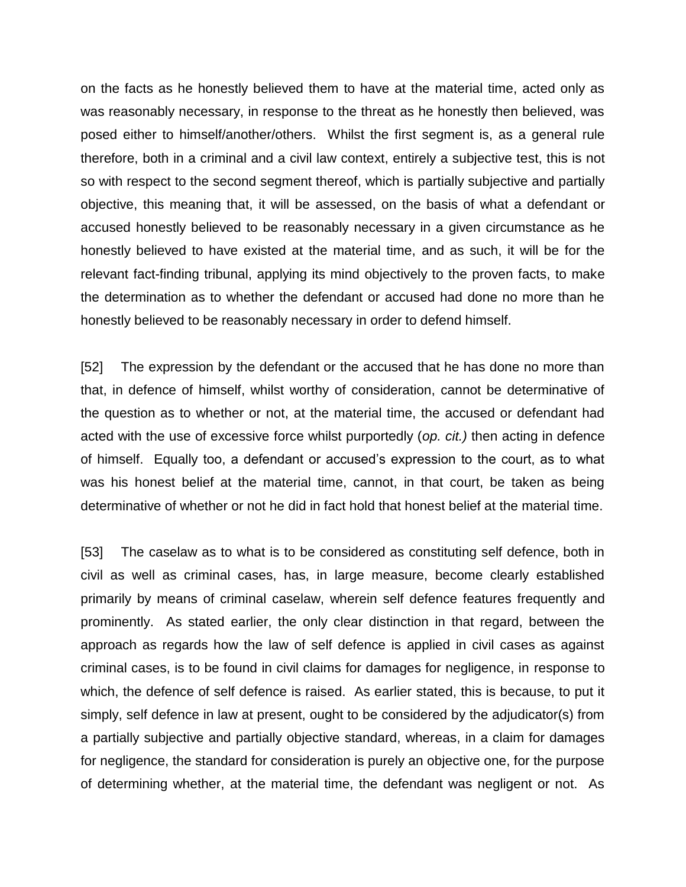on the facts as he honestly believed them to have at the material time, acted only as was reasonably necessary, in response to the threat as he honestly then believed, was posed either to himself/another/others. Whilst the first segment is, as a general rule therefore, both in a criminal and a civil law context, entirely a subjective test, this is not so with respect to the second segment thereof, which is partially subjective and partially objective, this meaning that, it will be assessed, on the basis of what a defendant or accused honestly believed to be reasonably necessary in a given circumstance as he honestly believed to have existed at the material time, and as such, it will be for the relevant fact-finding tribunal, applying its mind objectively to the proven facts, to make the determination as to whether the defendant or accused had done no more than he honestly believed to be reasonably necessary in order to defend himself.

[52] The expression by the defendant or the accused that he has done no more than that, in defence of himself, whilst worthy of consideration, cannot be determinative of the question as to whether or not, at the material time, the accused or defendant had acted with the use of excessive force whilst purportedly (*op. cit.)* then acting in defence of himself. Equally too, a defendant or accused's expression to the court, as to what was his honest belief at the material time, cannot, in that court, be taken as being determinative of whether or not he did in fact hold that honest belief at the material time.

[53] The caselaw as to what is to be considered as constituting self defence, both in civil as well as criminal cases, has, in large measure, become clearly established primarily by means of criminal caselaw, wherein self defence features frequently and prominently. As stated earlier, the only clear distinction in that regard, between the approach as regards how the law of self defence is applied in civil cases as against criminal cases, is to be found in civil claims for damages for negligence, in response to which, the defence of self defence is raised. As earlier stated, this is because, to put it simply, self defence in law at present, ought to be considered by the adjudicator(s) from a partially subjective and partially objective standard, whereas, in a claim for damages for negligence, the standard for consideration is purely an objective one, for the purpose of determining whether, at the material time, the defendant was negligent or not. As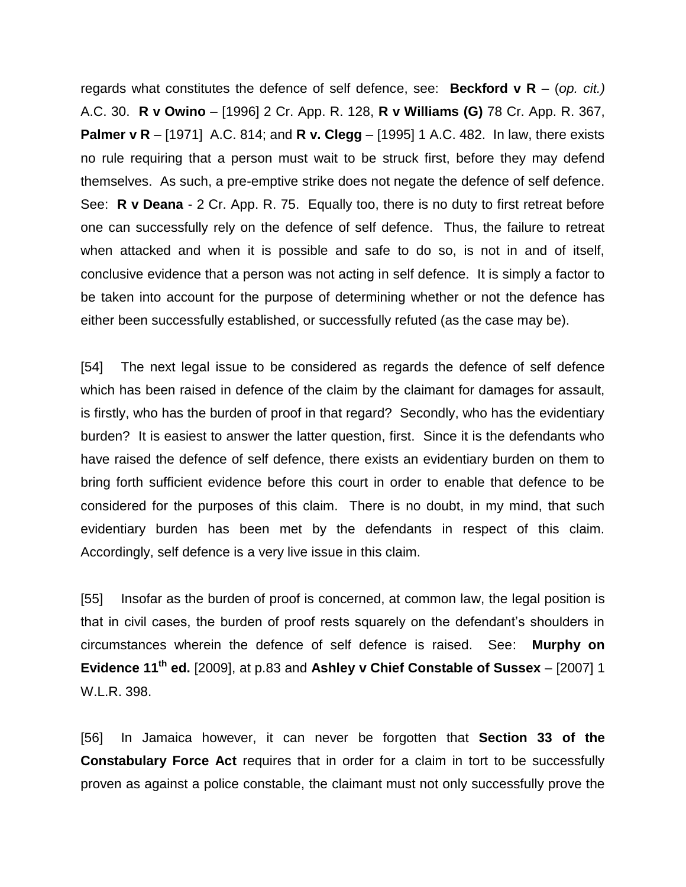regards what constitutes the defence of self defence, see: **Beckford v R** – (*op. cit.)* A.C. 30. **R v Owino** – [1996] 2 Cr. App. R. 128, **R v Williams (G)** 78 Cr. App. R. 367, **Palmer v R** – [1971] A.C. 814; and **R v. Clegg** – [1995] 1 A.C. 482. In law, there exists no rule requiring that a person must wait to be struck first, before they may defend themselves. As such, a pre-emptive strike does not negate the defence of self defence. See: **R v Deana** - 2 Cr. App. R. 75. Equally too, there is no duty to first retreat before one can successfully rely on the defence of self defence. Thus, the failure to retreat when attacked and when it is possible and safe to do so, is not in and of itself, conclusive evidence that a person was not acting in self defence. It is simply a factor to be taken into account for the purpose of determining whether or not the defence has either been successfully established, or successfully refuted (as the case may be).

[54] The next legal issue to be considered as regards the defence of self defence which has been raised in defence of the claim by the claimant for damages for assault, is firstly, who has the burden of proof in that regard? Secondly, who has the evidentiary burden? It is easiest to answer the latter question, first. Since it is the defendants who have raised the defence of self defence, there exists an evidentiary burden on them to bring forth sufficient evidence before this court in order to enable that defence to be considered for the purposes of this claim. There is no doubt, in my mind, that such evidentiary burden has been met by the defendants in respect of this claim. Accordingly, self defence is a very live issue in this claim.

[55] Insofar as the burden of proof is concerned, at common law, the legal position is that in civil cases, the burden of proof rests squarely on the defendant's shoulders in circumstances wherein the defence of self defence is raised. See: **Murphy on Evidence 11th ed.** [2009], at p.83 and **Ashley v Chief Constable of Sussex** – [2007] 1 W.L.R. 398.

[56] In Jamaica however, it can never be forgotten that **Section 33 of the Constabulary Force Act** requires that in order for a claim in tort to be successfully proven as against a police constable, the claimant must not only successfully prove the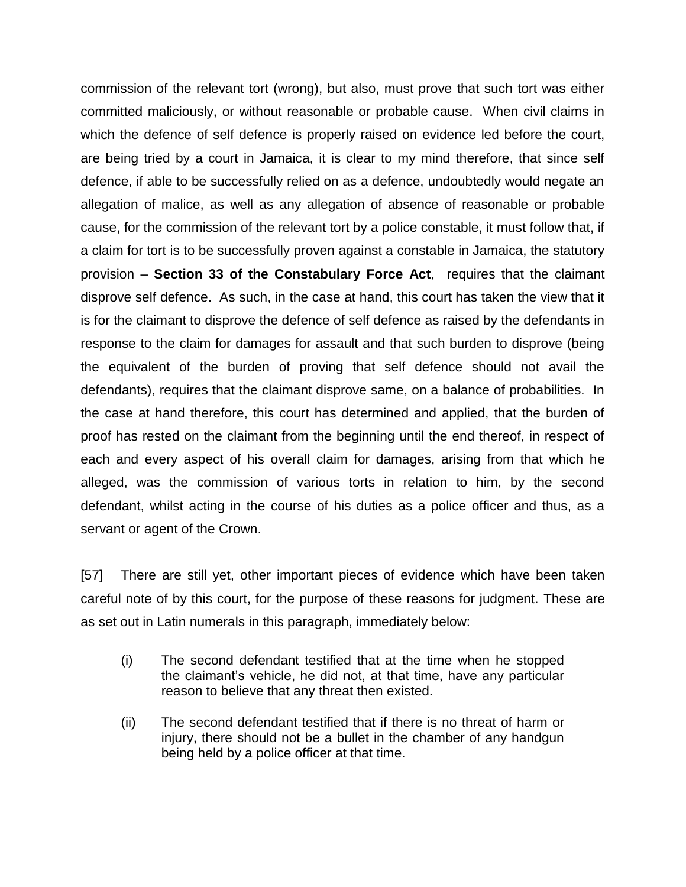commission of the relevant tort (wrong), but also, must prove that such tort was either committed maliciously, or without reasonable or probable cause. When civil claims in which the defence of self defence is properly raised on evidence led before the court, are being tried by a court in Jamaica, it is clear to my mind therefore, that since self defence, if able to be successfully relied on as a defence, undoubtedly would negate an allegation of malice, as well as any allegation of absence of reasonable or probable cause, for the commission of the relevant tort by a police constable, it must follow that, if a claim for tort is to be successfully proven against a constable in Jamaica, the statutory provision – **Section 33 of the Constabulary Force Act**, requires that the claimant disprove self defence. As such, in the case at hand, this court has taken the view that it is for the claimant to disprove the defence of self defence as raised by the defendants in response to the claim for damages for assault and that such burden to disprove (being the equivalent of the burden of proving that self defence should not avail the defendants), requires that the claimant disprove same, on a balance of probabilities. In the case at hand therefore, this court has determined and applied, that the burden of proof has rested on the claimant from the beginning until the end thereof, in respect of each and every aspect of his overall claim for damages, arising from that which he alleged, was the commission of various torts in relation to him, by the second defendant, whilst acting in the course of his duties as a police officer and thus, as a servant or agent of the Crown.

[57] There are still yet, other important pieces of evidence which have been taken careful note of by this court, for the purpose of these reasons for judgment. These are as set out in Latin numerals in this paragraph, immediately below:

- (i) The second defendant testified that at the time when he stopped the claimant's vehicle, he did not, at that time, have any particular reason to believe that any threat then existed.
- (ii) The second defendant testified that if there is no threat of harm or injury, there should not be a bullet in the chamber of any handgun being held by a police officer at that time.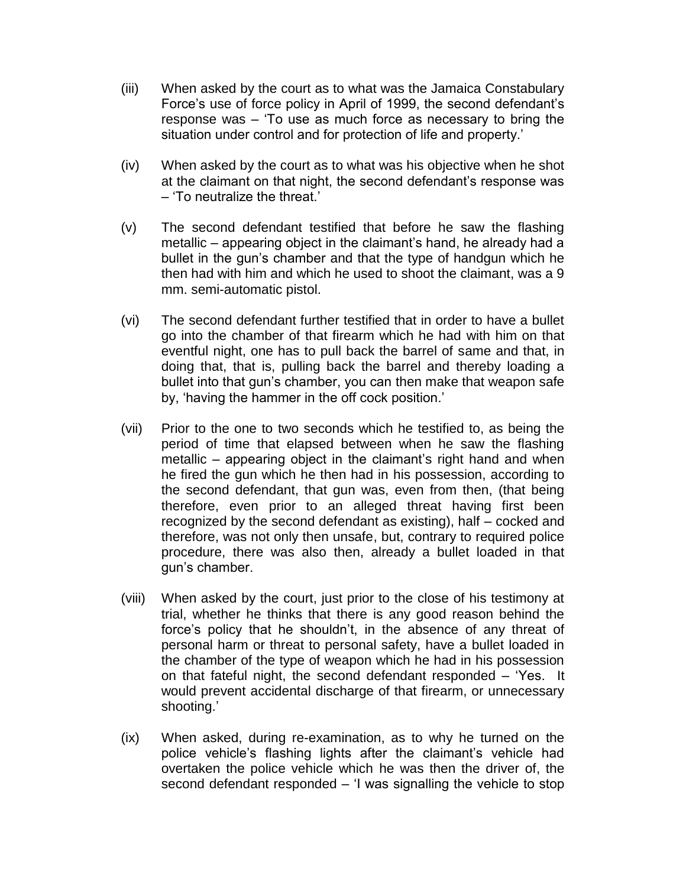- (iii) When asked by the court as to what was the Jamaica Constabulary Force's use of force policy in April of 1999, the second defendant's response was – 'To use as much force as necessary to bring the situation under control and for protection of life and property.'
- (iv) When asked by the court as to what was his objective when he shot at the claimant on that night, the second defendant's response was – 'To neutralize the threat.'
- (v) The second defendant testified that before he saw the flashing metallic – appearing object in the claimant's hand, he already had a bullet in the gun's chamber and that the type of handgun which he then had with him and which he used to shoot the claimant, was a 9 mm. semi-automatic pistol.
- (vi) The second defendant further testified that in order to have a bullet go into the chamber of that firearm which he had with him on that eventful night, one has to pull back the barrel of same and that, in doing that, that is, pulling back the barrel and thereby loading a bullet into that gun's chamber, you can then make that weapon safe by, 'having the hammer in the off cock position.'
- (vii) Prior to the one to two seconds which he testified to, as being the period of time that elapsed between when he saw the flashing metallic – appearing object in the claimant's right hand and when he fired the gun which he then had in his possession, according to the second defendant, that gun was, even from then, (that being therefore, even prior to an alleged threat having first been recognized by the second defendant as existing), half – cocked and therefore, was not only then unsafe, but, contrary to required police procedure, there was also then, already a bullet loaded in that gun's chamber.
- (viii) When asked by the court, just prior to the close of his testimony at trial, whether he thinks that there is any good reason behind the force's policy that he shouldn't, in the absence of any threat of personal harm or threat to personal safety, have a bullet loaded in the chamber of the type of weapon which he had in his possession on that fateful night, the second defendant responded – 'Yes. It would prevent accidental discharge of that firearm, or unnecessary shooting.'
- (ix) When asked, during re-examination, as to why he turned on the police vehicle's flashing lights after the claimant's vehicle had overtaken the police vehicle which he was then the driver of, the second defendant responded – 'I was signalling the vehicle to stop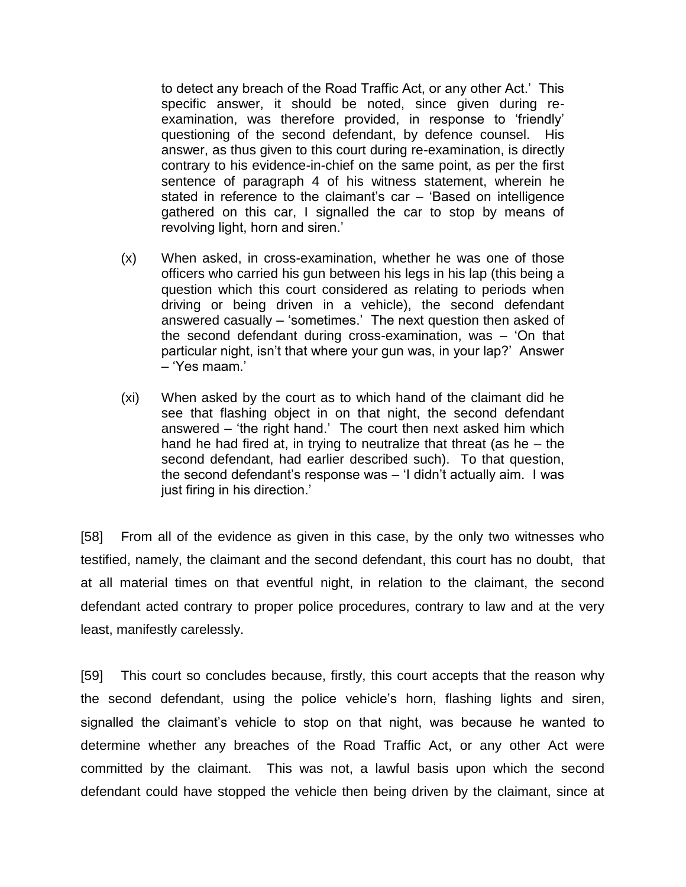to detect any breach of the Road Traffic Act, or any other Act.' This specific answer, it should be noted, since given during reexamination, was therefore provided, in response to 'friendly' questioning of the second defendant, by defence counsel. His answer, as thus given to this court during re-examination, is directly contrary to his evidence-in-chief on the same point, as per the first sentence of paragraph 4 of his witness statement, wherein he stated in reference to the claimant's car – 'Based on intelligence gathered on this car, I signalled the car to stop by means of revolving light, horn and siren.'

- (x) When asked, in cross-examination, whether he was one of those officers who carried his gun between his legs in his lap (this being a question which this court considered as relating to periods when driving or being driven in a vehicle), the second defendant answered casually – 'sometimes.' The next question then asked of the second defendant during cross-examination, was – 'On that particular night, isn't that where your gun was, in your lap?' Answer – 'Yes maam.'
- (xi) When asked by the court as to which hand of the claimant did he see that flashing object in on that night, the second defendant answered – 'the right hand.' The court then next asked him which hand he had fired at, in trying to neutralize that threat (as he – the second defendant, had earlier described such). To that question, the second defendant's response was – 'I didn't actually aim. I was just firing in his direction.'

[58] From all of the evidence as given in this case, by the only two witnesses who testified, namely, the claimant and the second defendant, this court has no doubt, that at all material times on that eventful night, in relation to the claimant, the second defendant acted contrary to proper police procedures, contrary to law and at the very least, manifestly carelessly.

[59] This court so concludes because, firstly, this court accepts that the reason why the second defendant, using the police vehicle's horn, flashing lights and siren, signalled the claimant's vehicle to stop on that night, was because he wanted to determine whether any breaches of the Road Traffic Act, or any other Act were committed by the claimant. This was not, a lawful basis upon which the second defendant could have stopped the vehicle then being driven by the claimant, since at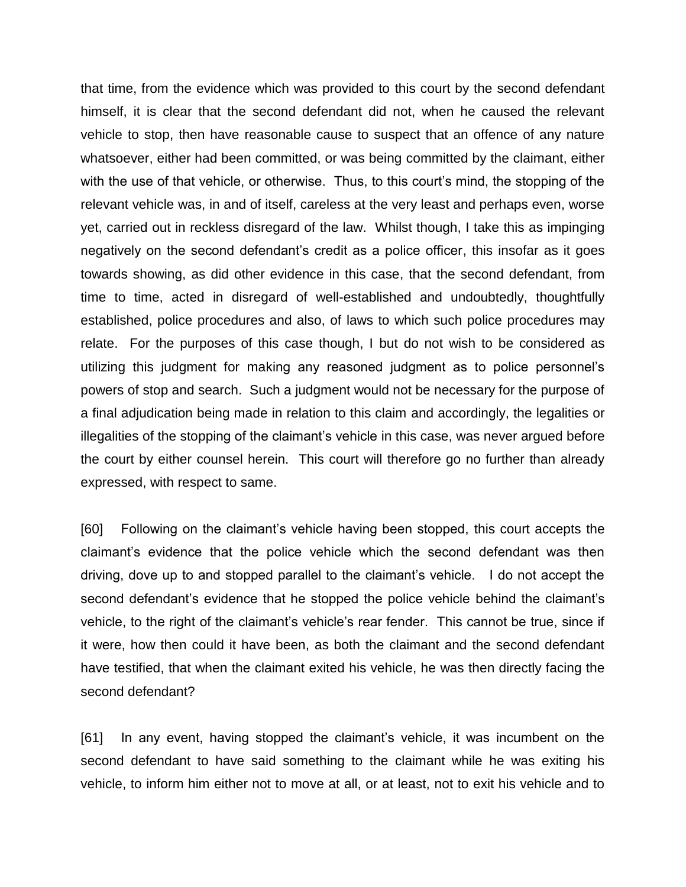that time, from the evidence which was provided to this court by the second defendant himself, it is clear that the second defendant did not, when he caused the relevant vehicle to stop, then have reasonable cause to suspect that an offence of any nature whatsoever, either had been committed, or was being committed by the claimant, either with the use of that vehicle, or otherwise. Thus, to this court's mind, the stopping of the relevant vehicle was, in and of itself, careless at the very least and perhaps even, worse yet, carried out in reckless disregard of the law. Whilst though, I take this as impinging negatively on the second defendant's credit as a police officer, this insofar as it goes towards showing, as did other evidence in this case, that the second defendant, from time to time, acted in disregard of well-established and undoubtedly, thoughtfully established, police procedures and also, of laws to which such police procedures may relate. For the purposes of this case though, I but do not wish to be considered as utilizing this judgment for making any reasoned judgment as to police personnel's powers of stop and search. Such a judgment would not be necessary for the purpose of a final adjudication being made in relation to this claim and accordingly, the legalities or illegalities of the stopping of the claimant's vehicle in this case, was never argued before the court by either counsel herein. This court will therefore go no further than already expressed, with respect to same.

[60] Following on the claimant's vehicle having been stopped, this court accepts the claimant's evidence that the police vehicle which the second defendant was then driving, dove up to and stopped parallel to the claimant's vehicle. I do not accept the second defendant's evidence that he stopped the police vehicle behind the claimant's vehicle, to the right of the claimant's vehicle's rear fender. This cannot be true, since if it were, how then could it have been, as both the claimant and the second defendant have testified, that when the claimant exited his vehicle, he was then directly facing the second defendant?

[61] In any event, having stopped the claimant's vehicle, it was incumbent on the second defendant to have said something to the claimant while he was exiting his vehicle, to inform him either not to move at all, or at least, not to exit his vehicle and to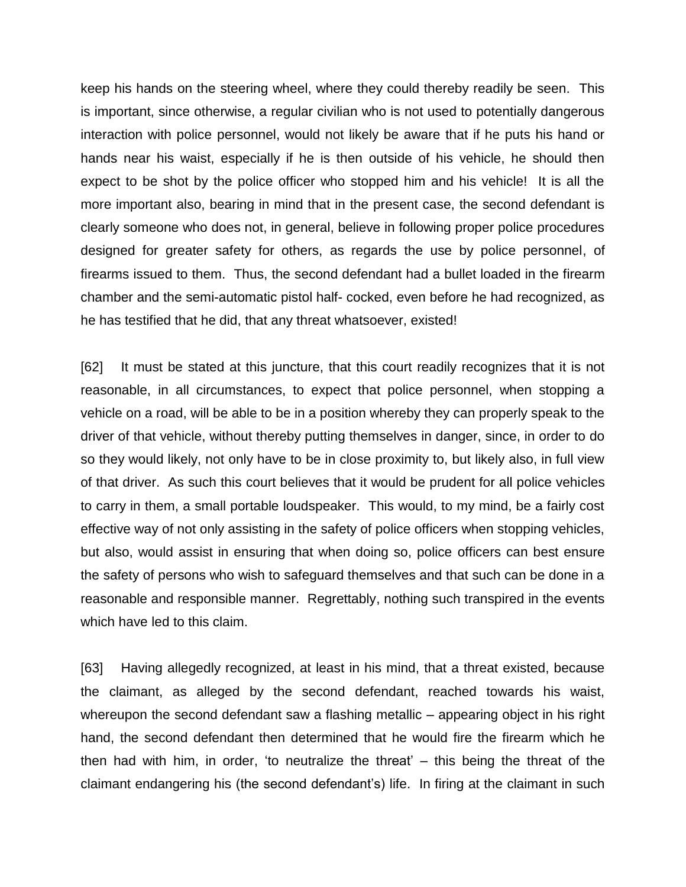keep his hands on the steering wheel, where they could thereby readily be seen. This is important, since otherwise, a regular civilian who is not used to potentially dangerous interaction with police personnel, would not likely be aware that if he puts his hand or hands near his waist, especially if he is then outside of his vehicle, he should then expect to be shot by the police officer who stopped him and his vehicle! It is all the more important also, bearing in mind that in the present case, the second defendant is clearly someone who does not, in general, believe in following proper police procedures designed for greater safety for others, as regards the use by police personnel, of firearms issued to them. Thus, the second defendant had a bullet loaded in the firearm chamber and the semi-automatic pistol half- cocked, even before he had recognized, as he has testified that he did, that any threat whatsoever, existed!

[62] It must be stated at this juncture, that this court readily recognizes that it is not reasonable, in all circumstances, to expect that police personnel, when stopping a vehicle on a road, will be able to be in a position whereby they can properly speak to the driver of that vehicle, without thereby putting themselves in danger, since, in order to do so they would likely, not only have to be in close proximity to, but likely also, in full view of that driver. As such this court believes that it would be prudent for all police vehicles to carry in them, a small portable loudspeaker. This would, to my mind, be a fairly cost effective way of not only assisting in the safety of police officers when stopping vehicles, but also, would assist in ensuring that when doing so, police officers can best ensure the safety of persons who wish to safeguard themselves and that such can be done in a reasonable and responsible manner. Regrettably, nothing such transpired in the events which have led to this claim.

[63] Having allegedly recognized, at least in his mind, that a threat existed, because the claimant, as alleged by the second defendant, reached towards his waist, whereupon the second defendant saw a flashing metallic – appearing object in his right hand, the second defendant then determined that he would fire the firearm which he then had with him, in order, 'to neutralize the threat' – this being the threat of the claimant endangering his (the second defendant's) life. In firing at the claimant in such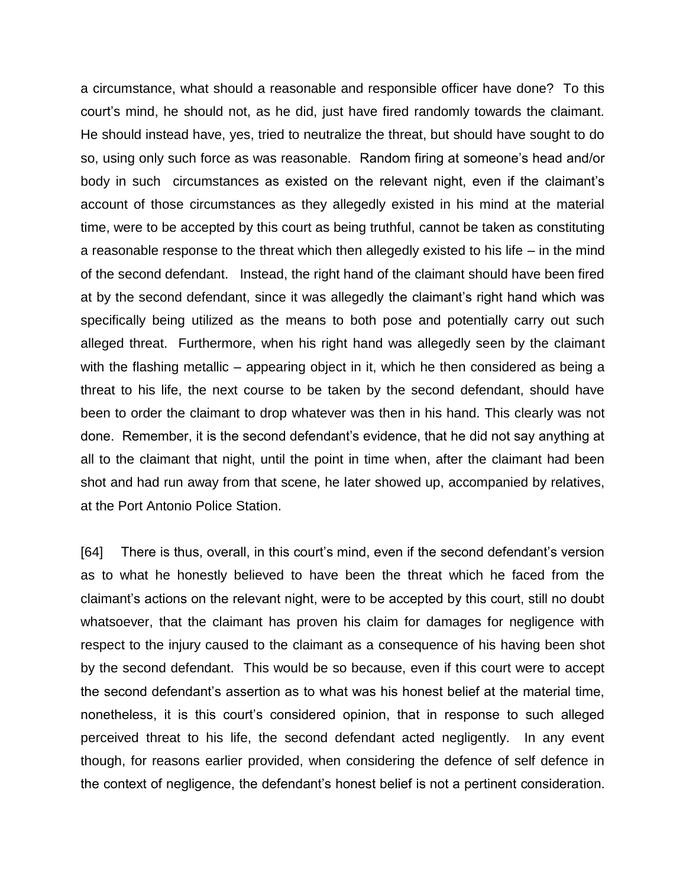a circumstance, what should a reasonable and responsible officer have done? To this court's mind, he should not, as he did, just have fired randomly towards the claimant. He should instead have, yes, tried to neutralize the threat, but should have sought to do so, using only such force as was reasonable. Random firing at someone's head and/or body in such circumstances as existed on the relevant night, even if the claimant's account of those circumstances as they allegedly existed in his mind at the material time, were to be accepted by this court as being truthful, cannot be taken as constituting a reasonable response to the threat which then allegedly existed to his life – in the mind of the second defendant. Instead, the right hand of the claimant should have been fired at by the second defendant, since it was allegedly the claimant's right hand which was specifically being utilized as the means to both pose and potentially carry out such alleged threat. Furthermore, when his right hand was allegedly seen by the claimant with the flashing metallic – appearing object in it, which he then considered as being a threat to his life, the next course to be taken by the second defendant, should have been to order the claimant to drop whatever was then in his hand. This clearly was not done. Remember, it is the second defendant's evidence, that he did not say anything at all to the claimant that night, until the point in time when, after the claimant had been shot and had run away from that scene, he later showed up, accompanied by relatives, at the Port Antonio Police Station.

[64] There is thus, overall, in this court's mind, even if the second defendant's version as to what he honestly believed to have been the threat which he faced from the claimant's actions on the relevant night, were to be accepted by this court, still no doubt whatsoever, that the claimant has proven his claim for damages for negligence with respect to the injury caused to the claimant as a consequence of his having been shot by the second defendant. This would be so because, even if this court were to accept the second defendant's assertion as to what was his honest belief at the material time, nonetheless, it is this court's considered opinion, that in response to such alleged perceived threat to his life, the second defendant acted negligently. In any event though, for reasons earlier provided, when considering the defence of self defence in the context of negligence, the defendant's honest belief is not a pertinent consideration.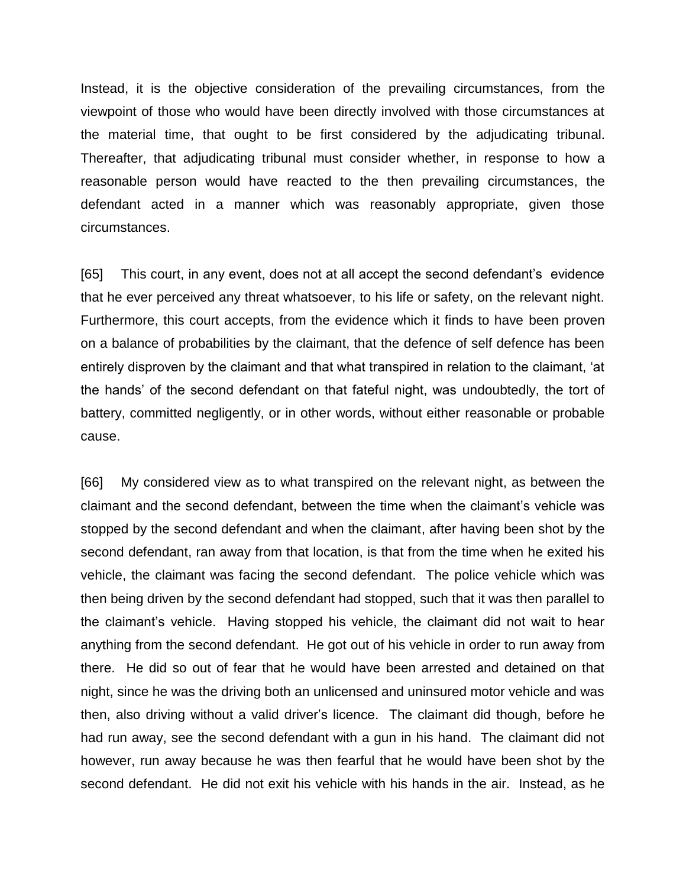Instead, it is the objective consideration of the prevailing circumstances, from the viewpoint of those who would have been directly involved with those circumstances at the material time, that ought to be first considered by the adjudicating tribunal. Thereafter, that adjudicating tribunal must consider whether, in response to how a reasonable person would have reacted to the then prevailing circumstances, the defendant acted in a manner which was reasonably appropriate, given those circumstances.

[65] This court, in any event, does not at all accept the second defendant's evidence that he ever perceived any threat whatsoever, to his life or safety, on the relevant night. Furthermore, this court accepts, from the evidence which it finds to have been proven on a balance of probabilities by the claimant, that the defence of self defence has been entirely disproven by the claimant and that what transpired in relation to the claimant, 'at the hands' of the second defendant on that fateful night, was undoubtedly, the tort of battery, committed negligently, or in other words, without either reasonable or probable cause.

[66] My considered view as to what transpired on the relevant night, as between the claimant and the second defendant, between the time when the claimant's vehicle was stopped by the second defendant and when the claimant, after having been shot by the second defendant, ran away from that location, is that from the time when he exited his vehicle, the claimant was facing the second defendant. The police vehicle which was then being driven by the second defendant had stopped, such that it was then parallel to the claimant's vehicle. Having stopped his vehicle, the claimant did not wait to hear anything from the second defendant. He got out of his vehicle in order to run away from there. He did so out of fear that he would have been arrested and detained on that night, since he was the driving both an unlicensed and uninsured motor vehicle and was then, also driving without a valid driver's licence. The claimant did though, before he had run away, see the second defendant with a gun in his hand. The claimant did not however, run away because he was then fearful that he would have been shot by the second defendant. He did not exit his vehicle with his hands in the air. Instead, as he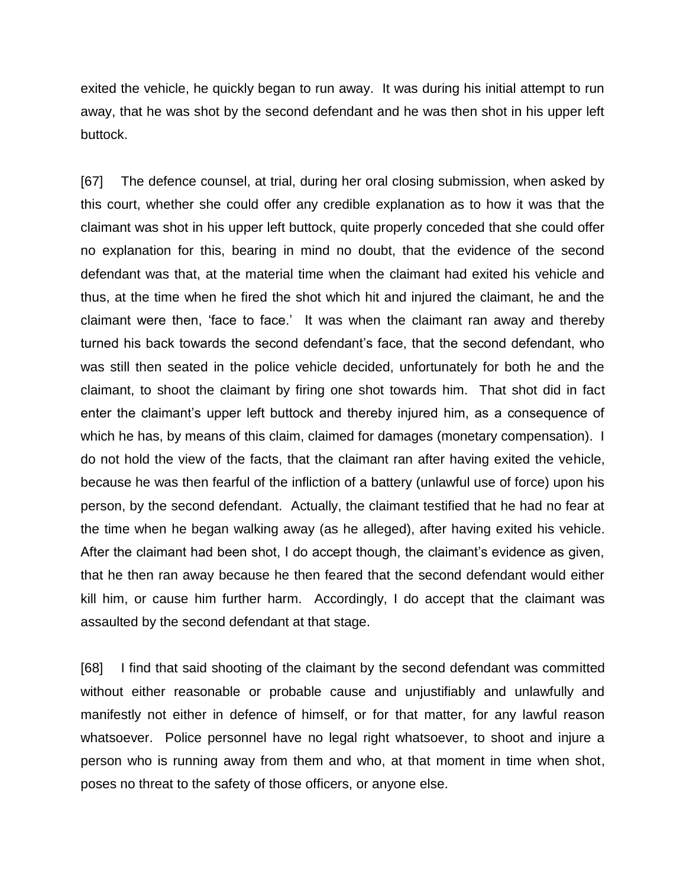exited the vehicle, he quickly began to run away. It was during his initial attempt to run away, that he was shot by the second defendant and he was then shot in his upper left buttock.

[67] The defence counsel, at trial, during her oral closing submission, when asked by this court, whether she could offer any credible explanation as to how it was that the claimant was shot in his upper left buttock, quite properly conceded that she could offer no explanation for this, bearing in mind no doubt, that the evidence of the second defendant was that, at the material time when the claimant had exited his vehicle and thus, at the time when he fired the shot which hit and injured the claimant, he and the claimant were then, 'face to face.' It was when the claimant ran away and thereby turned his back towards the second defendant's face, that the second defendant, who was still then seated in the police vehicle decided, unfortunately for both he and the claimant, to shoot the claimant by firing one shot towards him. That shot did in fact enter the claimant's upper left buttock and thereby injured him, as a consequence of which he has, by means of this claim, claimed for damages (monetary compensation). I do not hold the view of the facts, that the claimant ran after having exited the vehicle, because he was then fearful of the infliction of a battery (unlawful use of force) upon his person, by the second defendant. Actually, the claimant testified that he had no fear at the time when he began walking away (as he alleged), after having exited his vehicle. After the claimant had been shot, I do accept though, the claimant's evidence as given, that he then ran away because he then feared that the second defendant would either kill him, or cause him further harm. Accordingly, I do accept that the claimant was assaulted by the second defendant at that stage.

[68] I find that said shooting of the claimant by the second defendant was committed without either reasonable or probable cause and unjustifiably and unlawfully and manifestly not either in defence of himself, or for that matter, for any lawful reason whatsoever. Police personnel have no legal right whatsoever, to shoot and injure a person who is running away from them and who, at that moment in time when shot, poses no threat to the safety of those officers, or anyone else.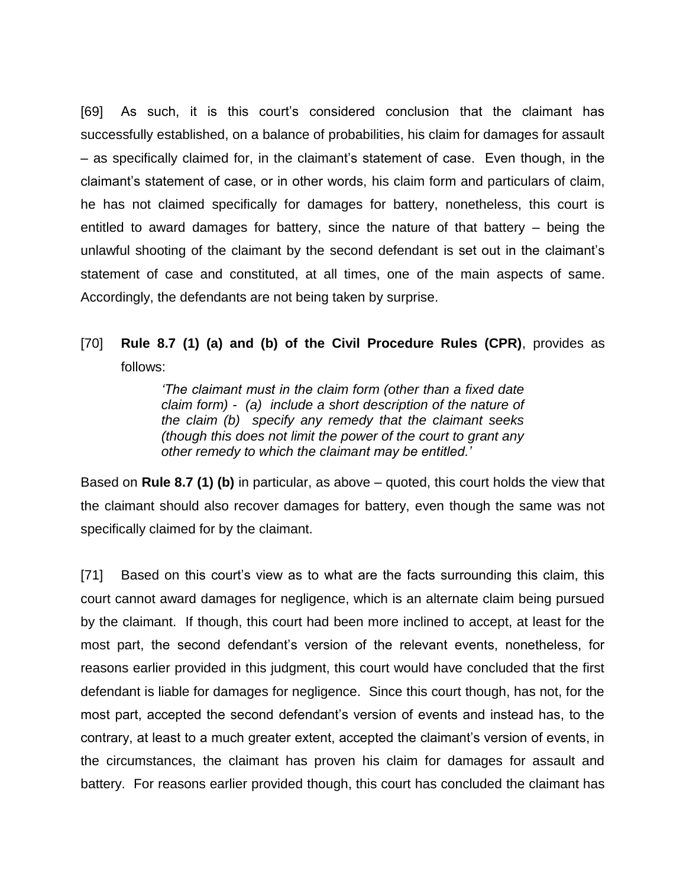[69] As such, it is this court's considered conclusion that the claimant has successfully established, on a balance of probabilities, his claim for damages for assault – as specifically claimed for, in the claimant's statement of case. Even though, in the claimant's statement of case, or in other words, his claim form and particulars of claim, he has not claimed specifically for damages for battery, nonetheless, this court is entitled to award damages for battery, since the nature of that battery – being the unlawful shooting of the claimant by the second defendant is set out in the claimant's statement of case and constituted, at all times, one of the main aspects of same. Accordingly, the defendants are not being taken by surprise.

## [70] **Rule 8.7 (1) (a) and (b) of the Civil Procedure Rules (CPR)**, provides as follows:

*'The claimant must in the claim form (other than a fixed date claim form) - (a) include a short description of the nature of the claim (b) specify any remedy that the claimant seeks (though this does not limit the power of the court to grant any other remedy to which the claimant may be entitled.'*

Based on **Rule 8.7 (1) (b)** in particular, as above – quoted, this court holds the view that the claimant should also recover damages for battery, even though the same was not specifically claimed for by the claimant.

[71] Based on this court's view as to what are the facts surrounding this claim, this court cannot award damages for negligence, which is an alternate claim being pursued by the claimant. If though, this court had been more inclined to accept, at least for the most part, the second defendant's version of the relevant events, nonetheless, for reasons earlier provided in this judgment, this court would have concluded that the first defendant is liable for damages for negligence. Since this court though, has not, for the most part, accepted the second defendant's version of events and instead has, to the contrary, at least to a much greater extent, accepted the claimant's version of events, in the circumstances, the claimant has proven his claim for damages for assault and battery. For reasons earlier provided though, this court has concluded the claimant has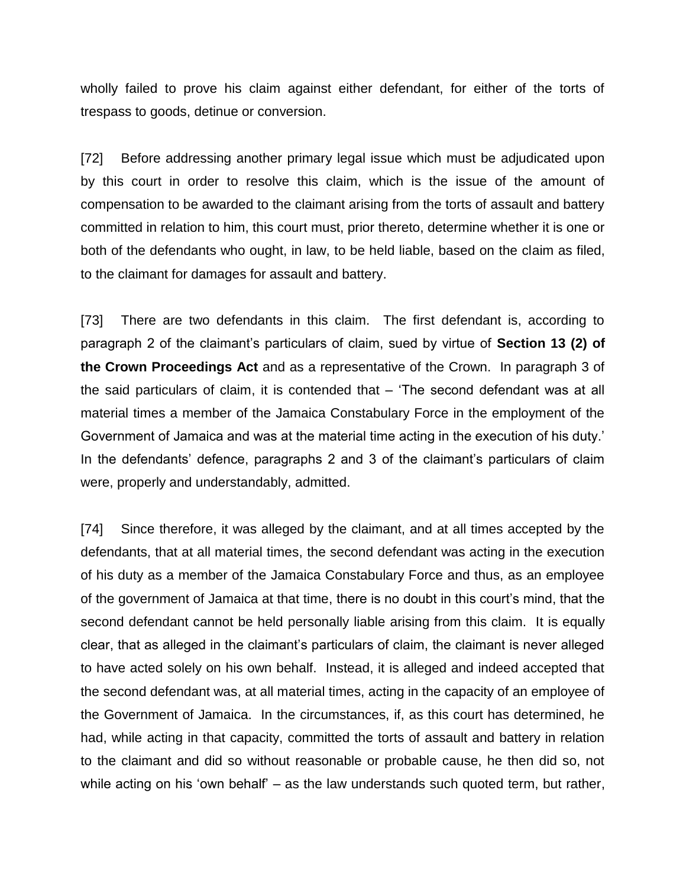wholly failed to prove his claim against either defendant, for either of the torts of trespass to goods, detinue or conversion.

[72] Before addressing another primary legal issue which must be adjudicated upon by this court in order to resolve this claim, which is the issue of the amount of compensation to be awarded to the claimant arising from the torts of assault and battery committed in relation to him, this court must, prior thereto, determine whether it is one or both of the defendants who ought, in law, to be held liable, based on the claim as filed, to the claimant for damages for assault and battery.

[73] There are two defendants in this claim. The first defendant is, according to paragraph 2 of the claimant's particulars of claim, sued by virtue of **Section 13 (2) of the Crown Proceedings Act** and as a representative of the Crown. In paragraph 3 of the said particulars of claim, it is contended that – 'The second defendant was at all material times a member of the Jamaica Constabulary Force in the employment of the Government of Jamaica and was at the material time acting in the execution of his duty.' In the defendants' defence, paragraphs 2 and 3 of the claimant's particulars of claim were, properly and understandably, admitted.

[74] Since therefore, it was alleged by the claimant, and at all times accepted by the defendants, that at all material times, the second defendant was acting in the execution of his duty as a member of the Jamaica Constabulary Force and thus, as an employee of the government of Jamaica at that time, there is no doubt in this court's mind, that the second defendant cannot be held personally liable arising from this claim. It is equally clear, that as alleged in the claimant's particulars of claim, the claimant is never alleged to have acted solely on his own behalf. Instead, it is alleged and indeed accepted that the second defendant was, at all material times, acting in the capacity of an employee of the Government of Jamaica. In the circumstances, if, as this court has determined, he had, while acting in that capacity, committed the torts of assault and battery in relation to the claimant and did so without reasonable or probable cause, he then did so, not while acting on his 'own behalf' – as the law understands such quoted term, but rather,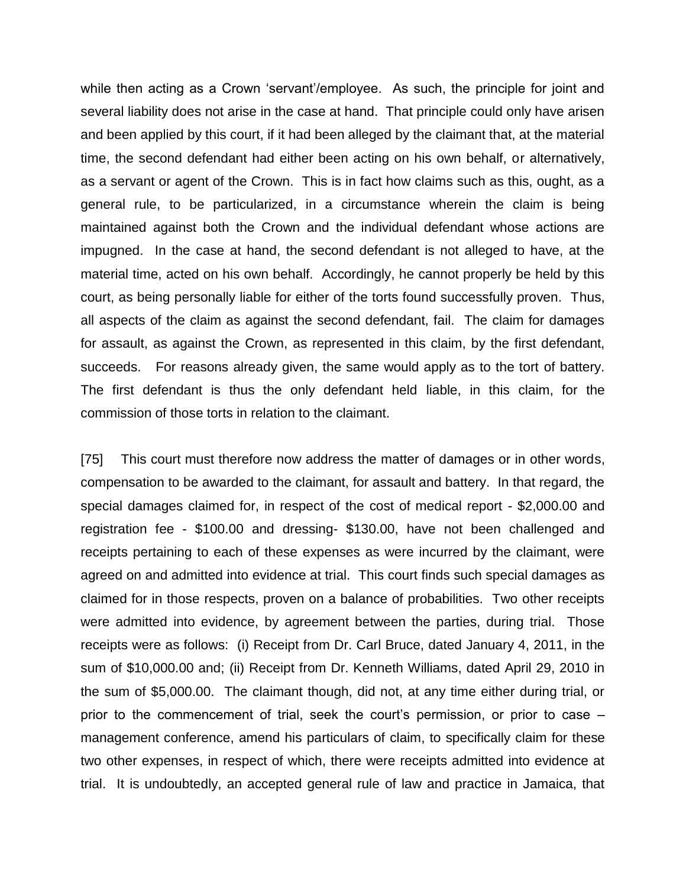while then acting as a Crown 'servant'/employee. As such, the principle for joint and several liability does not arise in the case at hand. That principle could only have arisen and been applied by this court, if it had been alleged by the claimant that, at the material time, the second defendant had either been acting on his own behalf, or alternatively, as a servant or agent of the Crown. This is in fact how claims such as this, ought, as a general rule, to be particularized, in a circumstance wherein the claim is being maintained against both the Crown and the individual defendant whose actions are impugned. In the case at hand, the second defendant is not alleged to have, at the material time, acted on his own behalf. Accordingly, he cannot properly be held by this court, as being personally liable for either of the torts found successfully proven. Thus, all aspects of the claim as against the second defendant, fail. The claim for damages for assault, as against the Crown, as represented in this claim, by the first defendant, succeeds. For reasons already given, the same would apply as to the tort of battery. The first defendant is thus the only defendant held liable, in this claim, for the commission of those torts in relation to the claimant.

[75] This court must therefore now address the matter of damages or in other words, compensation to be awarded to the claimant, for assault and battery. In that regard, the special damages claimed for, in respect of the cost of medical report - \$2,000.00 and registration fee - \$100.00 and dressing- \$130.00, have not been challenged and receipts pertaining to each of these expenses as were incurred by the claimant, were agreed on and admitted into evidence at trial. This court finds such special damages as claimed for in those respects, proven on a balance of probabilities. Two other receipts were admitted into evidence, by agreement between the parties, during trial. Those receipts were as follows: (i) Receipt from Dr. Carl Bruce, dated January 4, 2011, in the sum of \$10,000.00 and; (ii) Receipt from Dr. Kenneth Williams, dated April 29, 2010 in the sum of \$5,000.00. The claimant though, did not, at any time either during trial, or prior to the commencement of trial, seek the court's permission, or prior to case – management conference, amend his particulars of claim, to specifically claim for these two other expenses, in respect of which, there were receipts admitted into evidence at trial. It is undoubtedly, an accepted general rule of law and practice in Jamaica, that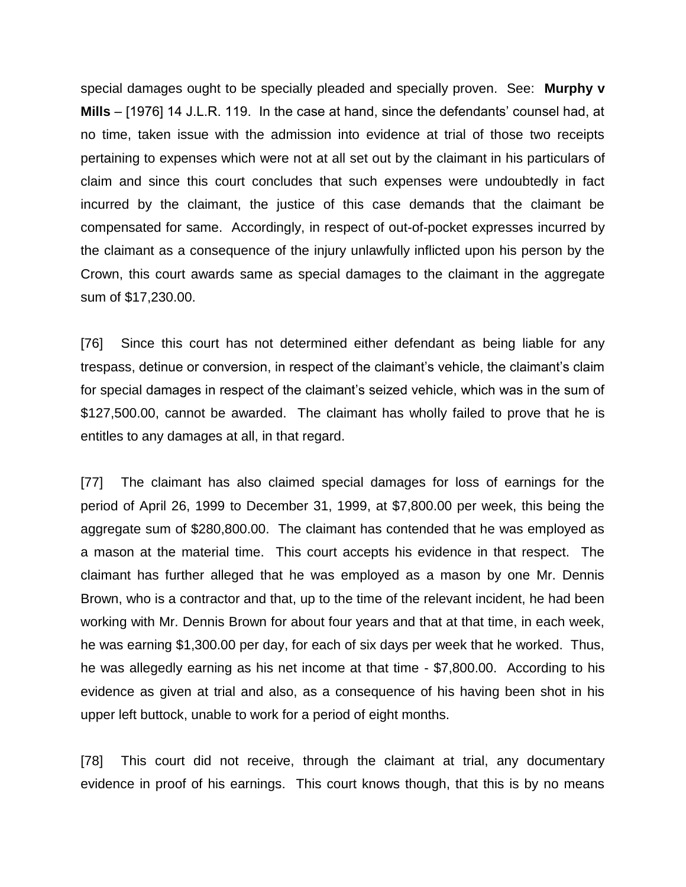special damages ought to be specially pleaded and specially proven. See: **Murphy v Mills** – [1976] 14 J.L.R. 119. In the case at hand, since the defendants' counsel had, at no time, taken issue with the admission into evidence at trial of those two receipts pertaining to expenses which were not at all set out by the claimant in his particulars of claim and since this court concludes that such expenses were undoubtedly in fact incurred by the claimant, the justice of this case demands that the claimant be compensated for same. Accordingly, in respect of out-of-pocket expresses incurred by the claimant as a consequence of the injury unlawfully inflicted upon his person by the Crown, this court awards same as special damages to the claimant in the aggregate sum of \$17,230.00.

[76] Since this court has not determined either defendant as being liable for any trespass, detinue or conversion, in respect of the claimant's vehicle, the claimant's claim for special damages in respect of the claimant's seized vehicle, which was in the sum of \$127,500.00, cannot be awarded. The claimant has wholly failed to prove that he is entitles to any damages at all, in that regard.

[77] The claimant has also claimed special damages for loss of earnings for the period of April 26, 1999 to December 31, 1999, at \$7,800.00 per week, this being the aggregate sum of \$280,800.00. The claimant has contended that he was employed as a mason at the material time. This court accepts his evidence in that respect. The claimant has further alleged that he was employed as a mason by one Mr. Dennis Brown, who is a contractor and that, up to the time of the relevant incident, he had been working with Mr. Dennis Brown for about four years and that at that time, in each week, he was earning \$1,300.00 per day, for each of six days per week that he worked. Thus, he was allegedly earning as his net income at that time - \$7,800.00. According to his evidence as given at trial and also, as a consequence of his having been shot in his upper left buttock, unable to work for a period of eight months.

[78] This court did not receive, through the claimant at trial, any documentary evidence in proof of his earnings. This court knows though, that this is by no means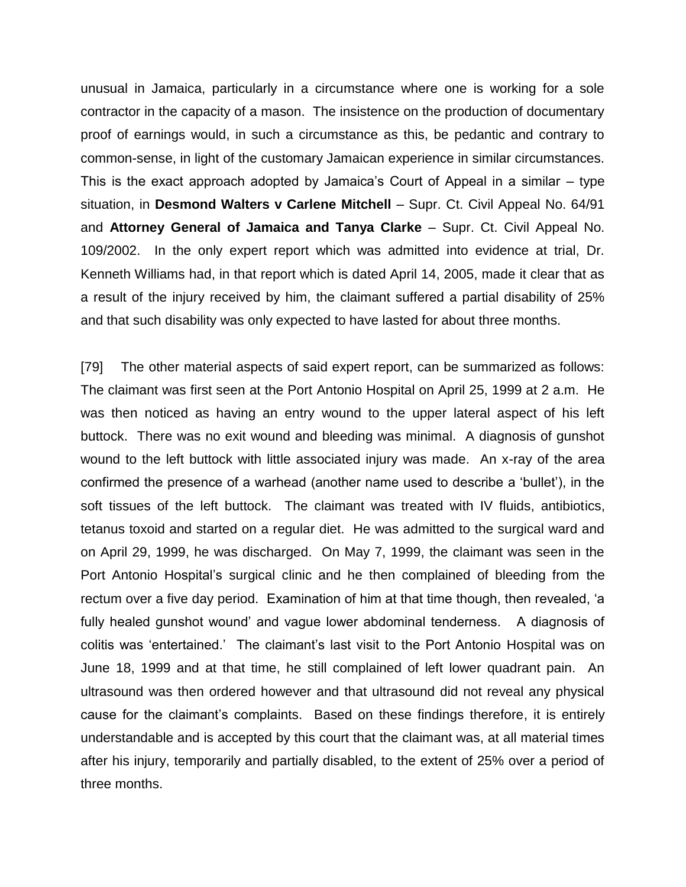unusual in Jamaica, particularly in a circumstance where one is working for a sole contractor in the capacity of a mason. The insistence on the production of documentary proof of earnings would, in such a circumstance as this, be pedantic and contrary to common-sense, in light of the customary Jamaican experience in similar circumstances. This is the exact approach adopted by Jamaica's Court of Appeal in a similar – type situation, in **Desmond Walters v Carlene Mitchell** – Supr. Ct. Civil Appeal No. 64/91 and **Attorney General of Jamaica and Tanya Clarke** – Supr. Ct. Civil Appeal No. 109/2002. In the only expert report which was admitted into evidence at trial, Dr. Kenneth Williams had, in that report which is dated April 14, 2005, made it clear that as a result of the injury received by him, the claimant suffered a partial disability of 25% and that such disability was only expected to have lasted for about three months.

[79] The other material aspects of said expert report, can be summarized as follows: The claimant was first seen at the Port Antonio Hospital on April 25, 1999 at 2 a.m. He was then noticed as having an entry wound to the upper lateral aspect of his left buttock. There was no exit wound and bleeding was minimal. A diagnosis of gunshot wound to the left buttock with little associated injury was made. An x-ray of the area confirmed the presence of a warhead (another name used to describe a 'bullet'), in the soft tissues of the left buttock. The claimant was treated with IV fluids, antibiotics, tetanus toxoid and started on a regular diet. He was admitted to the surgical ward and on April 29, 1999, he was discharged. On May 7, 1999, the claimant was seen in the Port Antonio Hospital's surgical clinic and he then complained of bleeding from the rectum over a five day period. Examination of him at that time though, then revealed, 'a fully healed gunshot wound' and vague lower abdominal tenderness. A diagnosis of colitis was 'entertained.' The claimant's last visit to the Port Antonio Hospital was on June 18, 1999 and at that time, he still complained of left lower quadrant pain. An ultrasound was then ordered however and that ultrasound did not reveal any physical cause for the claimant's complaints. Based on these findings therefore, it is entirely understandable and is accepted by this court that the claimant was, at all material times after his injury, temporarily and partially disabled, to the extent of 25% over a period of three months.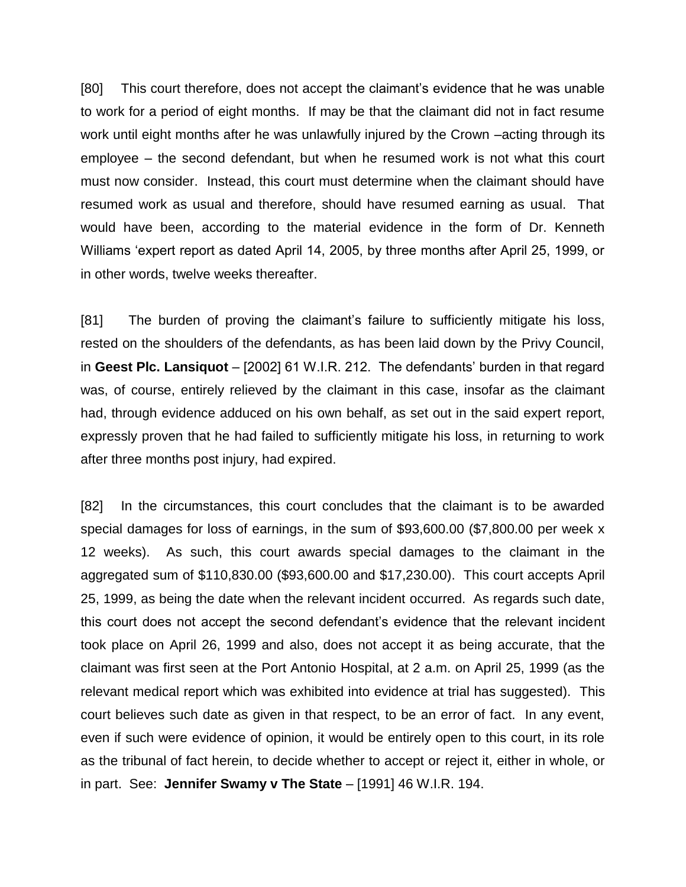[80] This court therefore, does not accept the claimant's evidence that he was unable to work for a period of eight months. If may be that the claimant did not in fact resume work until eight months after he was unlawfully injured by the Crown –acting through its employee – the second defendant, but when he resumed work is not what this court must now consider. Instead, this court must determine when the claimant should have resumed work as usual and therefore, should have resumed earning as usual. That would have been, according to the material evidence in the form of Dr. Kenneth Williams 'expert report as dated April 14, 2005, by three months after April 25, 1999, or in other words, twelve weeks thereafter.

[81] The burden of proving the claimant's failure to sufficiently mitigate his loss, rested on the shoulders of the defendants, as has been laid down by the Privy Council, in **Geest Plc. Lansiquot** – [2002] 61 W.I.R. 212. The defendants' burden in that regard was, of course, entirely relieved by the claimant in this case, insofar as the claimant had, through evidence adduced on his own behalf, as set out in the said expert report, expressly proven that he had failed to sufficiently mitigate his loss, in returning to work after three months post injury, had expired.

[82] In the circumstances, this court concludes that the claimant is to be awarded special damages for loss of earnings, in the sum of \$93,600.00 (\$7,800.00 per week x 12 weeks). As such, this court awards special damages to the claimant in the aggregated sum of \$110,830.00 (\$93,600.00 and \$17,230.00). This court accepts April 25, 1999, as being the date when the relevant incident occurred. As regards such date, this court does not accept the second defendant's evidence that the relevant incident took place on April 26, 1999 and also, does not accept it as being accurate, that the claimant was first seen at the Port Antonio Hospital, at 2 a.m. on April 25, 1999 (as the relevant medical report which was exhibited into evidence at trial has suggested). This court believes such date as given in that respect, to be an error of fact. In any event, even if such were evidence of opinion, it would be entirely open to this court, in its role as the tribunal of fact herein, to decide whether to accept or reject it, either in whole, or in part. See: **Jennifer Swamy v The State** – [1991] 46 W.I.R. 194.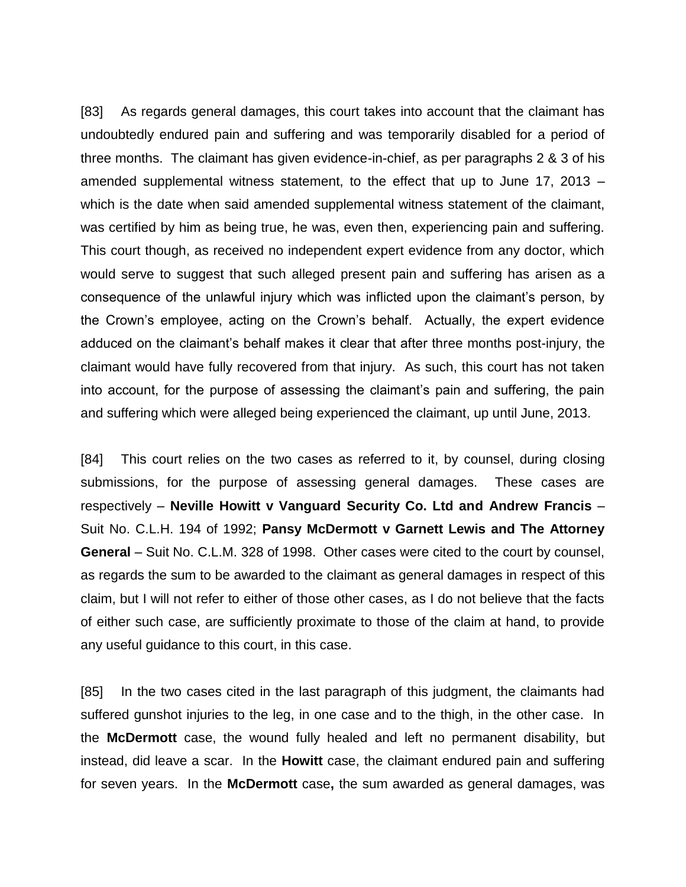[83] As regards general damages, this court takes into account that the claimant has undoubtedly endured pain and suffering and was temporarily disabled for a period of three months. The claimant has given evidence-in-chief, as per paragraphs 2 & 3 of his amended supplemental witness statement, to the effect that up to June 17, 2013 – which is the date when said amended supplemental witness statement of the claimant, was certified by him as being true, he was, even then, experiencing pain and suffering. This court though, as received no independent expert evidence from any doctor, which would serve to suggest that such alleged present pain and suffering has arisen as a consequence of the unlawful injury which was inflicted upon the claimant's person, by the Crown's employee, acting on the Crown's behalf. Actually, the expert evidence adduced on the claimant's behalf makes it clear that after three months post-injury, the claimant would have fully recovered from that injury. As such, this court has not taken into account, for the purpose of assessing the claimant's pain and suffering, the pain and suffering which were alleged being experienced the claimant, up until June, 2013.

[84] This court relies on the two cases as referred to it, by counsel, during closing submissions, for the purpose of assessing general damages. These cases are respectively – **Neville Howitt v Vanguard Security Co. Ltd and Andrew Francis** – Suit No. C.L.H. 194 of 1992; **Pansy McDermott v Garnett Lewis and The Attorney General** – Suit No. C.L.M. 328 of 1998. Other cases were cited to the court by counsel, as regards the sum to be awarded to the claimant as general damages in respect of this claim, but I will not refer to either of those other cases, as I do not believe that the facts of either such case, are sufficiently proximate to those of the claim at hand, to provide any useful guidance to this court, in this case.

[85] In the two cases cited in the last paragraph of this judgment, the claimants had suffered gunshot injuries to the leg, in one case and to the thigh, in the other case. In the **McDermott** case, the wound fully healed and left no permanent disability, but instead, did leave a scar. In the **Howitt** case, the claimant endured pain and suffering for seven years. In the **McDermott** case**,** the sum awarded as general damages, was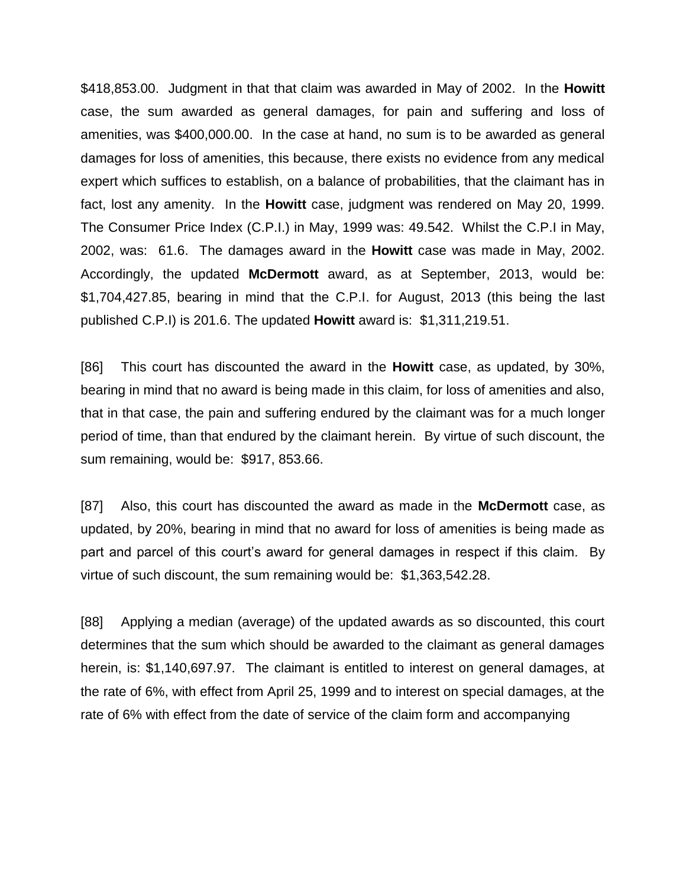\$418,853.00. Judgment in that that claim was awarded in May of 2002. In the **Howitt**  case, the sum awarded as general damages, for pain and suffering and loss of amenities, was \$400,000.00. In the case at hand, no sum is to be awarded as general damages for loss of amenities, this because, there exists no evidence from any medical expert which suffices to establish, on a balance of probabilities, that the claimant has in fact, lost any amenity. In the **Howitt** case, judgment was rendered on May 20, 1999. The Consumer Price Index (C.P.I.) in May, 1999 was: 49.542. Whilst the C.P.I in May, 2002, was: 61.6. The damages award in the **Howitt** case was made in May, 2002. Accordingly, the updated **McDermott** award, as at September, 2013, would be: \$1,704,427.85, bearing in mind that the C.P.I. for August, 2013 (this being the last published C.P.I) is 201.6. The updated **Howitt** award is: \$1,311,219.51.

[86] This court has discounted the award in the **Howitt** case, as updated, by 30%, bearing in mind that no award is being made in this claim, for loss of amenities and also, that in that case, the pain and suffering endured by the claimant was for a much longer period of time, than that endured by the claimant herein. By virtue of such discount, the sum remaining, would be: \$917, 853.66.

[87] Also, this court has discounted the award as made in the **McDermott** case, as updated, by 20%, bearing in mind that no award for loss of amenities is being made as part and parcel of this court's award for general damages in respect if this claim. By virtue of such discount, the sum remaining would be: \$1,363,542.28.

[88] Applying a median (average) of the updated awards as so discounted, this court determines that the sum which should be awarded to the claimant as general damages herein, is: \$1,140,697.97. The claimant is entitled to interest on general damages, at the rate of 6%, with effect from April 25, 1999 and to interest on special damages, at the rate of 6% with effect from the date of service of the claim form and accompanying